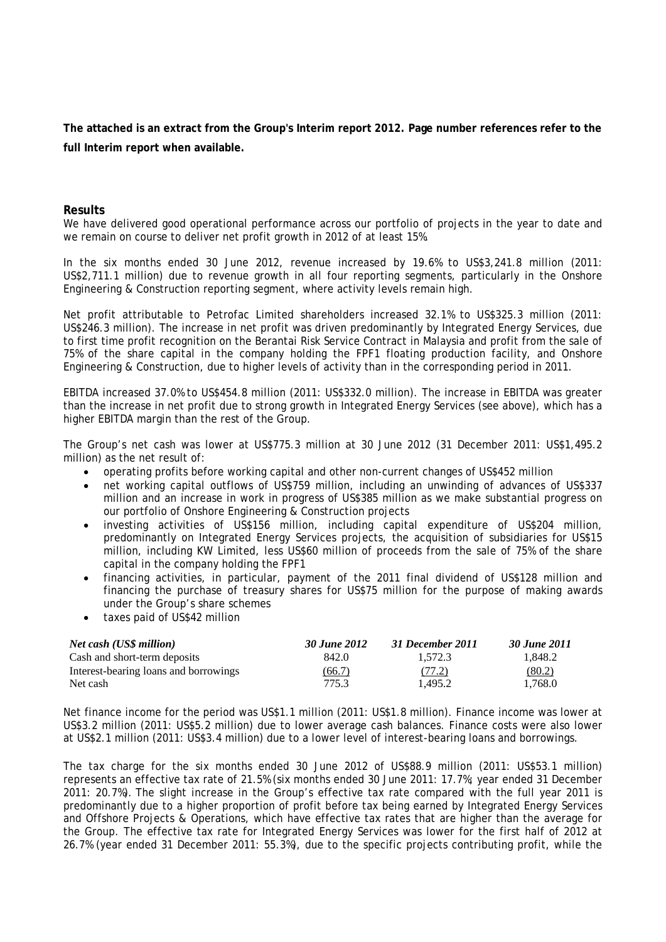**The attached is an extract from the Group's Interim report 2012. Page number references refer to the full Interim report when available.** 

## **Results**

We have delivered good operational performance across our portfolio of projects in the year to date and we remain on course to deliver net profit growth in 2012 of at least 15%.

In the six months ended 30 June 2012, revenue increased by 19.6% to US\$3,241.8 million (2011: US\$2,711.1 million) due to revenue growth in all four reporting segments, particularly in the Onshore Engineering & Construction reporting segment, where activity levels remain high.

Net profit attributable to Petrofac Limited shareholders increased 32.1% to US\$325.3 million (2011: US\$246.3 million). The increase in net profit was driven predominantly by Integrated Energy Services, due to first time profit recognition on the Berantai Risk Service Contract in Malaysia and profit from the sale of 75% of the share capital in the company holding the FPF1 floating production facility, and Onshore Engineering & Construction, due to higher levels of activity than in the corresponding period in 2011.

EBITDA increased 37.0% to US\$454.8 million (2011: US\$332.0 million). The increase in EBITDA was greater than the increase in net profit due to strong growth in Integrated Energy Services (see above), which has a higher EBITDA margin than the rest of the Group.

The Group's net cash was lower at US\$775.3 million at 30 June 2012 (31 December 2011: US\$1,495.2 million) as the net result of:

- operating profits before working capital and other non-current changes of US\$452 million
- net working capital outflows of US\$759 million, including an unwinding of advances of US\$337 million and an increase in work in progress of US\$385 million as we make substantial progress on our portfolio of Onshore Engineering & Construction projects
- investing activities of US\$156 million, including capital expenditure of US\$204 million, predominantly on Integrated Energy Services projects, the acquisition of subsidiaries for US\$15 million, including KW Limited, less US\$60 million of proceeds from the sale of 75% of the share capital in the company holding the FPF1
- financing activities, in particular, payment of the 2011 final dividend of US\$128 million and financing the purchase of treasury shares for US\$75 million for the purpose of making awards under the Group's share schemes
- taxes paid of US\$42 million

| Net cash (US\$ million)               | 30 June 2012 | 31 December 2011 | 30 June 2011 |
|---------------------------------------|--------------|------------------|--------------|
| Cash and short-term deposits          | 842.0        | 1.572.3          | 1.848.2      |
| Interest-bearing loans and borrowings | (66.7)       | (77.2)           | (80.2)       |
| Net cash                              | 775.3        | 1.495.2          | 1.768.0      |

Net finance income for the period was US\$1.1 million (2011: US\$1.8 million). Finance income was lower at US\$3.2 million (2011: US\$5.2 million) due to lower average cash balances. Finance costs were also lower at US\$2.1 million (2011: US\$3.4 million) due to a lower level of interest-bearing loans and borrowings.

The tax charge for the six months ended 30 June 2012 of US\$88.9 million (2011: US\$53.1 million) represents an effective tax rate of 21.5% (six months ended 30 June 2011: 17.7%; year ended 31 December 2011: 20.7%). The slight increase in the Group's effective tax rate compared with the full year 2011 is predominantly due to a higher proportion of profit before tax being earned by Integrated Energy Services and Offshore Projects & Operations, which have effective tax rates that are higher than the average for the Group. The effective tax rate for Integrated Energy Services was lower for the first half of 2012 at 26.7% (year ended 31 December 2011: 55.3%), due to the specific projects contributing profit, while the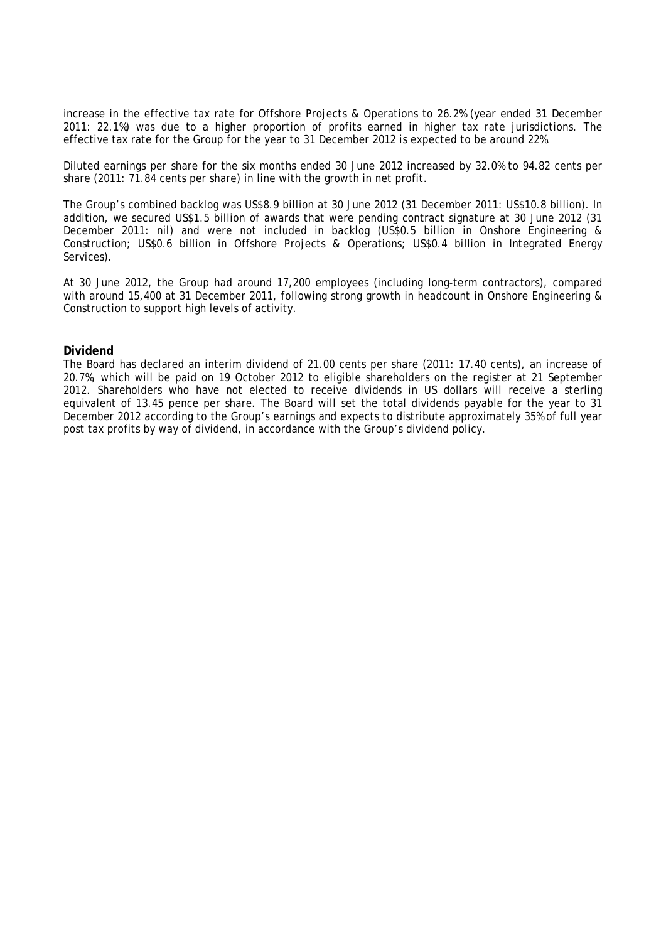increase in the effective tax rate for Offshore Projects & Operations to 26.2% (year ended 31 December 2011: 22.1%) was due to a higher proportion of profits earned in higher tax rate jurisdictions. The effective tax rate for the Group for the year to 31 December 2012 is expected to be around 22%.

Diluted earnings per share for the six months ended 30 June 2012 increased by 32.0% to 94.82 cents per share (2011: 71.84 cents per share) in line with the growth in net profit.

The Group's combined backlog was US\$8.9 billion at 30 June 2012 (31 December 2011: US\$10.8 billion). In addition, we secured US\$1.5 billion of awards that were pending contract signature at 30 June 2012 (31 December 2011: nil) and were not included in backlog (US\$0.5 billion in Onshore Engineering & Construction; US\$0.6 billion in Offshore Projects & Operations; US\$0.4 billion in Integrated Energy Services).

At 30 June 2012, the Group had around 17,200 employees (including long-term contractors), compared with around 15,400 at 31 December 2011, following strong growth in headcount in Onshore Engineering & Construction to support high levels of activity.

## **Dividend**

The Board has declared an interim dividend of 21.00 cents per share (2011: 17.40 cents), an increase of 20.7%, which will be paid on 19 October 2012 to eligible shareholders on the register at 21 September 2012. Shareholders who have not elected to receive dividends in US dollars will receive a sterling equivalent of 13.45 pence per share. The Board will set the total dividends payable for the year to 31 December 2012 according to the Group's earnings and expects to distribute approximately 35% of full year post tax profits by way of dividend, in accordance with the Group's dividend policy.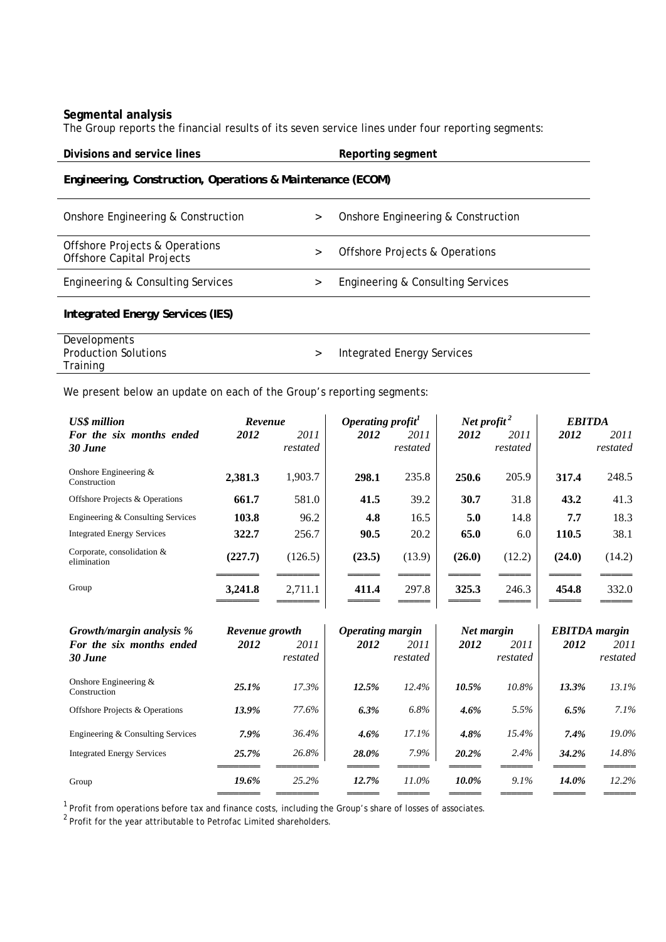## **Segmental analysis**

The Group reports the financial results of its seven service lines under four reporting segments:

| Divisions and service lines                                                   |        | Reporting segment                         |  |  |  |
|-------------------------------------------------------------------------------|--------|-------------------------------------------|--|--|--|
| Engineering, Construction, Operations & Maintenance (ECOM)                    |        |                                           |  |  |  |
| Onshore Engineering & Construction                                            | $\geq$ | Onshore Engineering & Construction        |  |  |  |
| <b>Offshore Projects &amp; Operations</b><br><b>Offshore Capital Projects</b> | $\geq$ | <b>Offshore Projects &amp; Operations</b> |  |  |  |
| Engineering & Consulting Services                                             | >      | Engineering & Consulting Services         |  |  |  |
| Integrated Energy Services (IES)                                              |        |                                           |  |  |  |
| Developments<br><b>Production Solutions</b><br>Training                       | $\geq$ | Integrated Energy Services                |  |  |  |

We present below an update on each of the Group's reporting segments:

| <b>US\$</b> million                       | Revenue |                  | Operating profit $\cdot$ |                  | Net profit $^2$ |                  | <b>EBITDA</b> |                  |
|-------------------------------------------|---------|------------------|--------------------------|------------------|-----------------|------------------|---------------|------------------|
| For the six months ended<br>30 June       | 2012    | 2011<br>restated | 2012                     | 2011<br>restated | 2012            | 2011<br>restated | 2012          | 2011<br>restated |
| Onshore Engineering $&$<br>Construction   | 2,381.3 | 1,903.7          | 298.1                    | 235.8            | 250.6           | 205.9            | 317.4         | 248.5            |
| Offshore Projects & Operations            | 661.7   | 581.0            | 41.5                     | 39.2             | 30.7            | 31.8             | 43.2          | 41.3             |
| Engineering & Consulting Services         | 103.8   | 96.2             | 4.8                      | 16.5             | 5.0             | 14.8             | 7.7           | 18.3             |
| <b>Integrated Energy Services</b>         | 322.7   | 256.7            | 90.5                     | 20.2             | 65.0            | 6.0              | 110.5         | 38.1             |
| Corporate, consolidation &<br>elimination | (227.7) | (126.5)          | (23.5)                   | (13.9)           | (26.0)          | (12.2)           | (24.0)        | (14.2)           |
| Group                                     | 3,241.8 | 2.711.1          | 411.4                    | 297.8            | 325.3           | 246.3            | 454.8         | 332.0            |

| Growth/margin analysis %                | Revenue growth |                  | Operating margin |                  | Net margin |                  | <b>EBITDA</b> margin |                  |
|-----------------------------------------|----------------|------------------|------------------|------------------|------------|------------------|----------------------|------------------|
| For the six months ended<br>30 June     | 2012           | 2011<br>restated | 2012             | 2011<br>restated | 2012       | 2011<br>restated | 2012                 | 2011<br>restated |
| Onshore Engineering $&$<br>Construction | 25.1%          | 17.3%            | 12.5%            | 12.4%            | 10.5%      | 10.8%            | 13.3%                | 13.1%            |
| Offshore Projects & Operations          | 13.9%          | 77.6%            | 6.3%             | $6.8\%$          | 4.6%       | 5.5%             | 6.5%                 | 7.1%             |
| Engineering & Consulting Services       | 7.9%           | 36.4%            | $4.6\%$          | 17.1%            | 4.8%       | 15.4%            | 7.4%                 | $19.0\%$         |
| <b>Integrated Energy Services</b>       | 25.7%          | 26.8%            | 28.0%            | 7.9%             | 20.2%      | 2.4%             | 34.2%                | 14.8%            |
| Group                                   | 19.6%          | 25.2%            | 12.7%            | 11.0%            | 10.0%      | $9.1\%$          | 14.0%                | 12.2%            |

 $1$  Profit from operations before tax and finance costs, including the Group's share of losses of associates.

 $^{2}$  Profit for the year attributable to Petrofac Limited shareholders.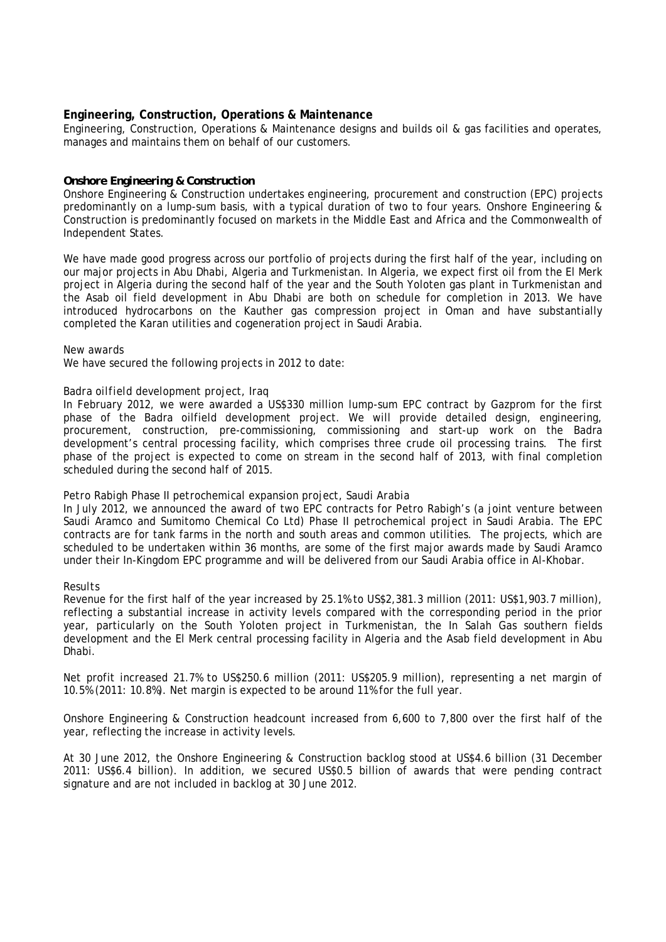## **Engineering, Construction, Operations & Maintenance**

Engineering, Construction, Operations & Maintenance designs and builds oil & gas facilities and operates, manages and maintains them on behalf of our customers.

## *Onshore Engineering & Construction*

Onshore Engineering & Construction undertakes engineering, procurement and construction (EPC) projects predominantly on a lump-sum basis, with a typical duration of two to four years. Onshore Engineering & Construction is predominantly focused on markets in the Middle East and Africa and the Commonwealth of Independent States.

We have made good progress across our portfolio of projects during the first half of the year, including on our major projects in Abu Dhabi, Algeria and Turkmenistan. In Algeria, we expect first oil from the El Merk project in Algeria during the second half of the year and the South Yoloten gas plant in Turkmenistan and the Asab oil field development in Abu Dhabi are both on schedule for completion in 2013. We have introduced hydrocarbons on the Kauther gas compression project in Oman and have substantially completed the Karan utilities and cogeneration project in Saudi Arabia.

## *New awards*

We have secured the following projects in 2012 to date:

## *Badra oilfield development project, Iraq*

In February 2012, we were awarded a US\$330 million lump-sum EPC contract by Gazprom for the first phase of the Badra oilfield development project. We will provide detailed design, engineering, procurement, construction, pre-commissioning, commissioning and start-up work on the Badra development's central processing facility, which comprises three crude oil processing trains. The first phase of the project is expected to come on stream in the second half of 2013, with final completion scheduled during the second half of 2015.

## *Petro Rabigh Phase II petrochemical expansion project, Saudi Arabia*

In July 2012, we announced the award of two EPC contracts for Petro Rabigh's (a joint venture between Saudi Aramco and Sumitomo Chemical Co Ltd) Phase II petrochemical project in Saudi Arabia. The EPC contracts are for tank farms in the north and south areas and common utilities. The projects, which are scheduled to be undertaken within 36 months, are some of the first major awards made by Saudi Aramco under their In-Kingdom EPC programme and will be delivered from our Saudi Arabia office in Al-Khobar.

## *Results*

Revenue for the first half of the year increased by 25.1% to US\$2,381.3 million (2011: US\$1,903.7 million), reflecting a substantial increase in activity levels compared with the corresponding period in the prior year, particularly on the South Yoloten project in Turkmenistan, the In Salah Gas southern fields development and the El Merk central processing facility in Algeria and the Asab field development in Abu Dhabi.

Net profit increased 21.7% to US\$250.6 million (2011: US\$205.9 million), representing a net margin of 10.5% (2011: 10.8%). Net margin is expected to be around 11% for the full year.

Onshore Engineering & Construction headcount increased from 6,600 to 7,800 over the first half of the year, reflecting the increase in activity levels.

At 30 June 2012, the Onshore Engineering & Construction backlog stood at US\$4.6 billion (31 December 2011: US\$6.4 billion). In addition, we secured US\$0.5 billion of awards that were pending contract signature and are not included in backlog at 30 June 2012.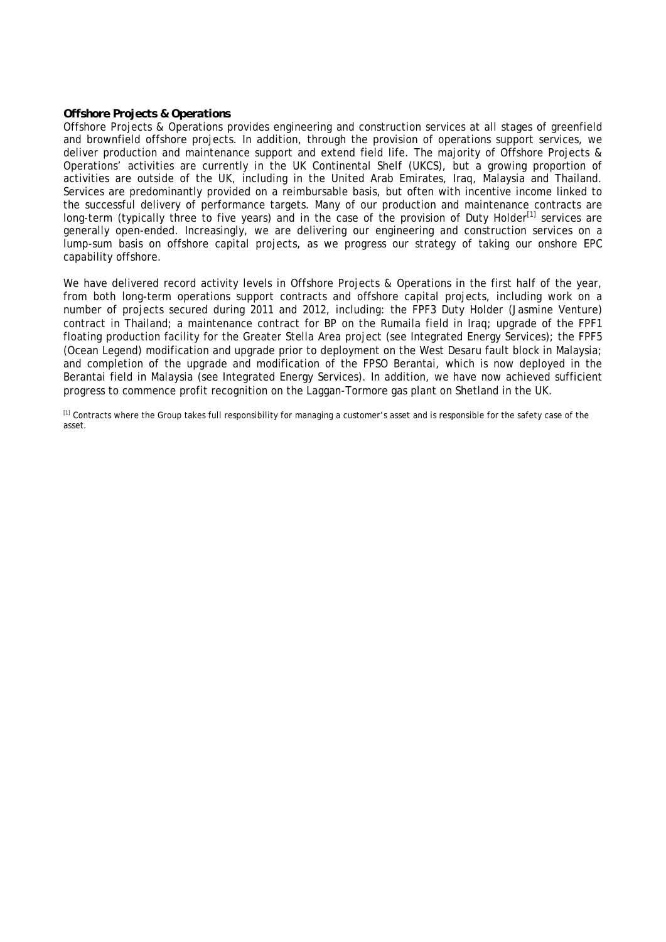## *Offshore Projects & Operations*

Offshore Projects & Operations provides engineering and construction services at all stages of greenfield and brownfield offshore projects. In addition, through the provision of operations support services, we deliver production and maintenance support and extend field life. The majority of Offshore Projects & Operations' activities are currently in the UK Continental Shelf (UKCS), but a growing proportion of activities are outside of the UK, including in the United Arab Emirates, Iraq, Malaysia and Thailand. Services are predominantly provided on a reimbursable basis, but often with incentive income linked to the successful delivery of performance targets. Many of our production and maintenance contracts are long-term (typically three to five years) and in the case of the provision of Duty Holder<sup>[1]</sup> services are generally open-ended. Increasingly, we are delivering our engineering and construction services on a lump-sum basis on offshore capital projects, as we progress our strategy of taking our onshore EPC capability offshore.

We have delivered record activity levels in Offshore Projects & Operations in the first half of the year, from both long-term operations support contracts and offshore capital projects, including work on a number of projects secured during 2011 and 2012, including: the FPF3 Duty Holder (Jasmine Venture) contract in Thailand; a maintenance contract for BP on the Rumaila field in Iraq; upgrade of the FPF1 floating production facility for the Greater Stella Area project (see Integrated Energy Services); the FPF5 (Ocean Legend) modification and upgrade prior to deployment on the West Desaru fault block in Malaysia; and completion of the upgrade and modification of the FPSO Berantai, which is now deployed in the Berantai field in Malaysia (see Integrated Energy Services). In addition, we have now achieved sufficient progress to commence profit recognition on the Laggan-Tormore gas plant on Shetland in the UK.

<sup>[1]</sup> Contracts where the Group takes full responsibility for managing a customer's asset and is responsible for the safety case of the asset.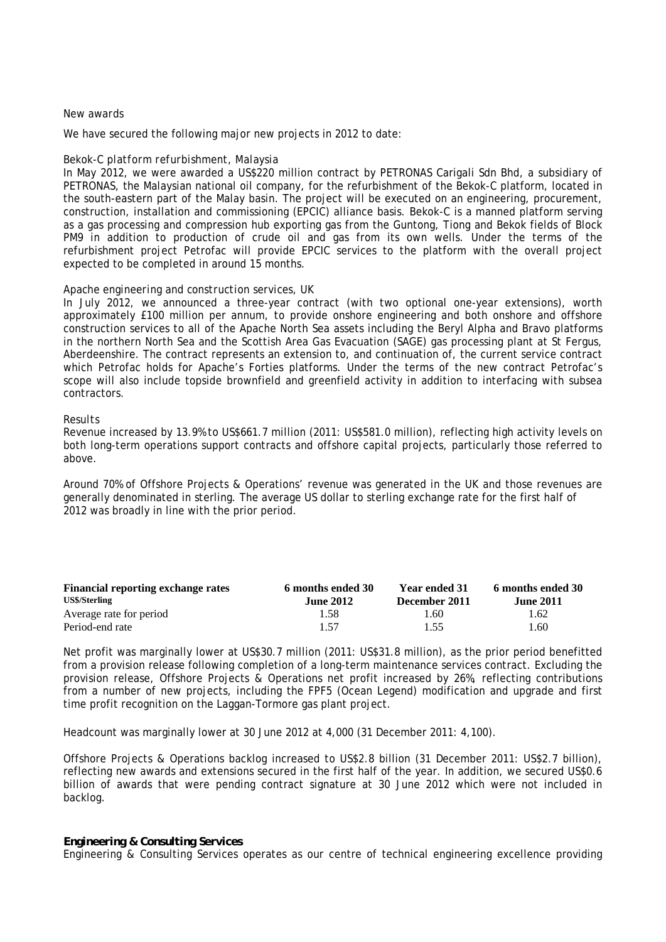## *New awards*

We have secured the following major new projects in 2012 to date:

## *Bekok-C platform refurbishment, Malaysia*

In May 2012, we were awarded a US\$220 million contract by PETRONAS Carigali Sdn Bhd, a subsidiary of PETRONAS, the Malaysian national oil company, for the refurbishment of the Bekok-C platform, located in the south-eastern part of the Malay basin. The project will be executed on an engineering, procurement, construction, installation and commissioning (EPCIC) alliance basis. Bekok-C is a manned platform serving as a gas processing and compression hub exporting gas from the Guntong, Tiong and Bekok fields of Block PM9 in addition to production of crude oil and gas from its own wells. Under the terms of the refurbishment project Petrofac will provide EPCIC services to the platform with the overall project expected to be completed in around 15 months.

## *Apache engineering and construction services, UK*

In July 2012, we announced a three-year contract (with two optional one-year extensions), worth approximately £100 million per annum, to provide onshore engineering and both onshore and offshore construction services to all of the Apache North Sea assets including the Beryl Alpha and Bravo platforms in the northern North Sea and the Scottish Area Gas Evacuation (SAGE) gas processing plant at St Fergus, Aberdeenshire. The contract represents an extension to, and continuation of, the current service contract which Petrofac holds for Apache's Forties platforms. Under the terms of the new contract Petrofac's scope will also include topside brownfield and greenfield activity in addition to interfacing with subsea contractors.

## *Results*

Revenue increased by 13.9% to US\$661.7 million (2011: US\$581.0 million), reflecting high activity levels on both long-term operations support contracts and offshore capital projects, particularly those referred to above.

Around 70% of Offshore Projects & Operations' revenue was generated in the UK and those revenues are generally denominated in sterling. The average US dollar to sterling exchange rate for the first half of 2012 was broadly in line with the prior period.

| <b>Financial reporting exchange rates</b> | 6 months ended 30 | <b>Year ended 31</b> | 6 months ended 30 |
|-------------------------------------------|-------------------|----------------------|-------------------|
| <b>US\$/Sterling</b>                      | <b>June 2012</b>  | December 2011        | <b>June 2011</b>  |
| Average rate for period                   | 1.58              | r.60-                | 1.62              |
| Period-end rate                           | 1.57              | 1.55                 | .60               |

Net profit was marginally lower at US\$30.7 million (2011: US\$31.8 million), as the prior period benefitted from a provision release following completion of a long-term maintenance services contract. Excluding the provision release, Offshore Projects & Operations net profit increased by 26%, reflecting contributions from a number of new projects, including the FPF5 (Ocean Legend) modification and upgrade and first time profit recognition on the Laggan-Tormore gas plant project.

Headcount was marginally lower at 30 June 2012 at 4,000 (31 December 2011: 4,100).

Offshore Projects & Operations backlog increased to US\$2.8 billion (31 December 2011: US\$2.7 billion), reflecting new awards and extensions secured in the first half of the year. In addition, we secured US\$0.6 billion of awards that were pending contract signature at 30 June 2012 which were not included in backlog.

#### *Engineering & Consulting Services*

Engineering & Consulting Services operates as our centre of technical engineering excellence providing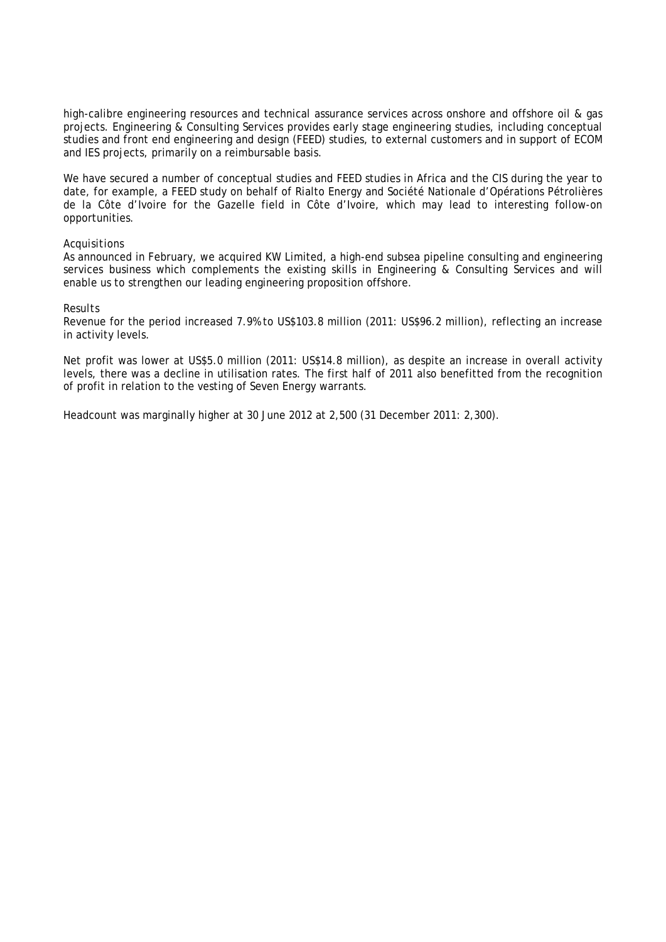high-calibre engineering resources and technical assurance services across onshore and offshore oil & gas projects. Engineering & Consulting Services provides early stage engineering studies, including conceptual studies and front end engineering and design (FEED) studies, to external customers and in support of ECOM and IES projects, primarily on a reimbursable basis.

We have secured a number of conceptual studies and FEED studies in Africa and the CIS during the year to date, for example, a FEED study on behalf of Rialto Energy and Société Nationale d'Opérations Pétrolières de la Côte d'Ivoire for the Gazelle field in Côte d'Ivoire, which may lead to interesting follow-on opportunities.

## *Acquisitions*

As announced in February, we acquired KW Limited, a high-end subsea pipeline consulting and engineering services business which complements the existing skills in Engineering & Consulting Services and will enable us to strengthen our leading engineering proposition offshore.

## *Results*

Revenue for the period increased 7.9% to US\$103.8 million (2011: US\$96.2 million), reflecting an increase in activity levels.

Net profit was lower at US\$5.0 million (2011: US\$14.8 million), as despite an increase in overall activity levels, there was a decline in utilisation rates. The first half of 2011 also benefitted from the recognition of profit in relation to the vesting of Seven Energy warrants.

Headcount was marginally higher at 30 June 2012 at 2,500 (31 December 2011: 2,300).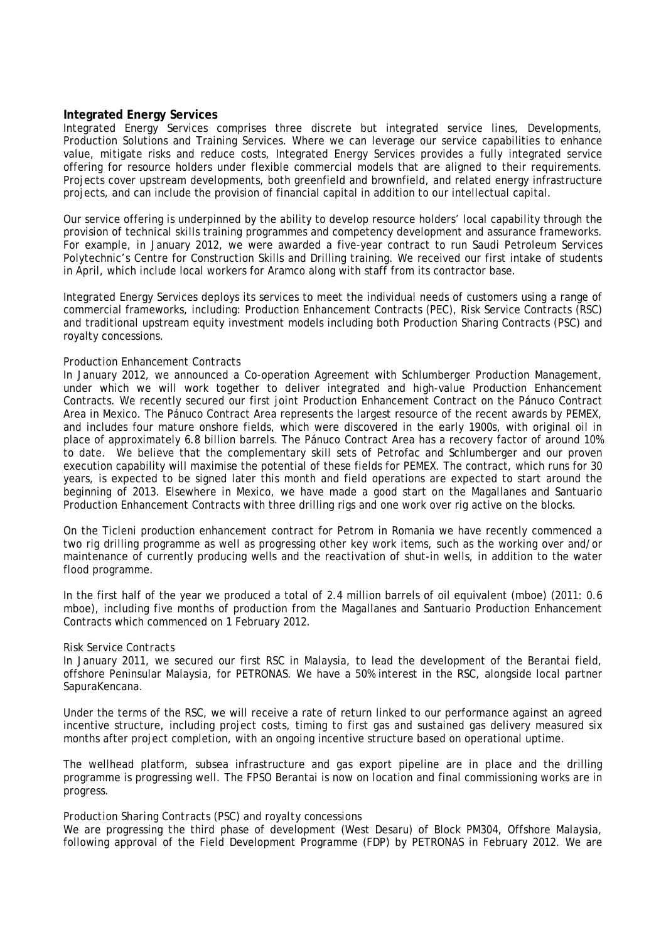## **Integrated Energy Services**

Integrated Energy Services comprises three discrete but integrated service lines, Developments, Production Solutions and Training Services. Where we can leverage our service capabilities to enhance value, mitigate risks and reduce costs, Integrated Energy Services provides a fully integrated service offering for resource holders under flexible commercial models that are aligned to their requirements. Projects cover upstream developments, both greenfield and brownfield, and related energy infrastructure projects, and can include the provision of financial capital in addition to our intellectual capital.

Our service offering is underpinned by the ability to develop resource holders' local capability through the provision of technical skills training programmes and competency development and assurance frameworks. For example, in January 2012, we were awarded a five-year contract to run Saudi Petroleum Services Polytechnic's Centre for Construction Skills and Drilling training. We received our first intake of students in April, which include local workers for Aramco along with staff from its contractor base.

Integrated Energy Services deploys its services to meet the individual needs of customers using a range of commercial frameworks, including: Production Enhancement Contracts (PEC), Risk Service Contracts (RSC) and traditional upstream equity investment models including both Production Sharing Contracts (PSC) and royalty concessions.

## *Production Enhancement Contracts*

In January 2012, we announced a Co-operation Agreement with Schlumberger Production Management, under which we will work together to deliver integrated and high-value Production Enhancement Contracts. We recently secured our first joint Production Enhancement Contract on the Pánuco Contract Area in Mexico. The Pánuco Contract Area represents the largest resource of the recent awards by PEMEX, and includes four mature onshore fields, which were discovered in the early 1900s, with original oil in place of approximately 6.8 billion barrels. The Pánuco Contract Area has a recovery factor of around 10% to date. We believe that the complementary skill sets of Petrofac and Schlumberger and our proven execution capability will maximise the potential of these fields for PEMEX. The contract, which runs for 30 years, is expected to be signed later this month and field operations are expected to start around the beginning of 2013. Elsewhere in Mexico, we have made a good start on the Magallanes and Santuario Production Enhancement Contracts with three drilling rigs and one work over rig active on the blocks.

On the Ticleni production enhancement contract for Petrom in Romania we have recently commenced a two rig drilling programme as well as progressing other key work items, such as the working over and/or maintenance of currently producing wells and the reactivation of shut-in wells, in addition to the water flood programme.

In the first half of the year we produced a total of 2.4 million barrels of oil equivalent (mboe) (2011: 0.6 mboe), including five months of production from the Magallanes and Santuario Production Enhancement Contracts which commenced on 1 February 2012.

## *Risk Service Contracts*

In January 2011, we secured our first RSC in Malaysia, to lead the development of the Berantai field, offshore Peninsular Malaysia, for PETRONAS. We have a 50% interest in the RSC, alongside local partner SapuraKencana.

Under the terms of the RSC, we will receive a rate of return linked to our performance against an agreed incentive structure, including project costs, timing to first gas and sustained gas delivery measured six months after project completion, with an ongoing incentive structure based on operational uptime.

The wellhead platform, subsea infrastructure and gas export pipeline are in place and the drilling programme is progressing well. The FPSO Berantai is now on location and final commissioning works are in progress.

## *Production Sharing Contracts (PSC) and royalty concessions*

We are progressing the third phase of development (West Desaru) of Block PM304, Offshore Malaysia, following approval of the Field Development Programme (FDP) by PETRONAS in February 2012. We are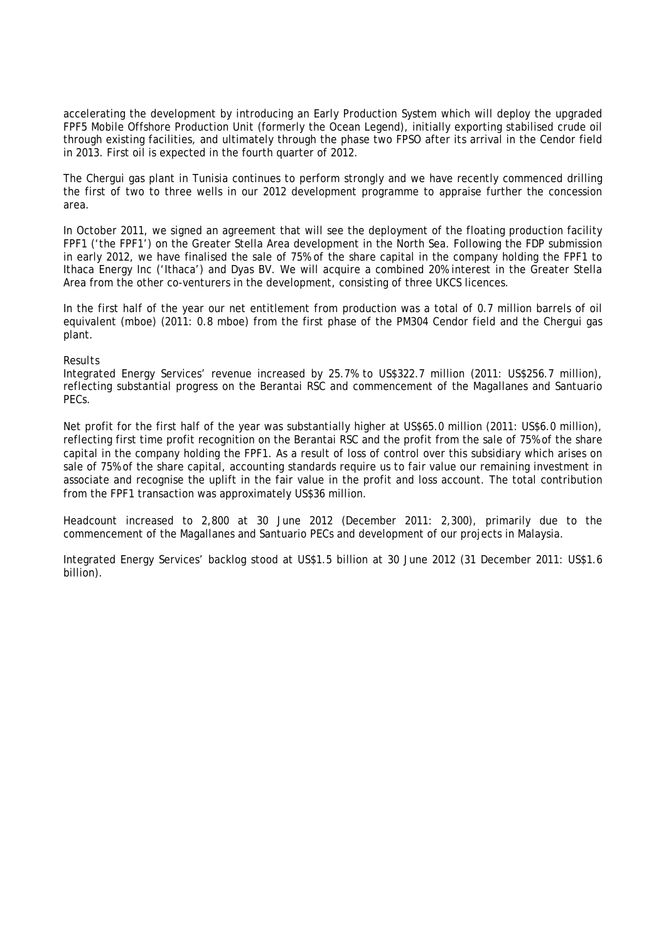accelerating the development by introducing an Early Production System which will deploy the upgraded FPF5 Mobile Offshore Production Unit (formerly the Ocean Legend), initially exporting stabilised crude oil through existing facilities, and ultimately through the phase two FPSO after its arrival in the Cendor field in 2013. First oil is expected in the fourth quarter of 2012.

The Chergui gas plant in Tunisia continues to perform strongly and we have recently commenced drilling the first of two to three wells in our 2012 development programme to appraise further the concession area.

In October 2011, we signed an agreement that will see the deployment of the floating production facility FPF1 ('the FPF1') on the Greater Stella Area development in the North Sea. Following the FDP submission in early 2012, we have finalised the sale of 75% of the share capital in the company holding the FPF1 to Ithaca Energy Inc ('Ithaca') and Dyas BV. We will acquire a combined 20% interest in the Greater Stella Area from the other co-venturers in the development, consisting of three UKCS licences.

In the first half of the year our net entitlement from production was a total of 0.7 million barrels of oil equivalent (mboe) (2011: 0.8 mboe) from the first phase of the PM304 Cendor field and the Chergui gas plant.

## *Results*

Integrated Energy Services' revenue increased by 25.7% to US\$322.7 million (2011: US\$256.7 million), reflecting substantial progress on the Berantai RSC and commencement of the Magallanes and Santuario PECs.

Net profit for the first half of the year was substantially higher at US\$65.0 million (2011: US\$6.0 million), reflecting first time profit recognition on the Berantai RSC and the profit from the sale of 75% of the share capital in the company holding the FPF1. As a result of loss of control over this subsidiary which arises on sale of 75% of the share capital, accounting standards require us to fair value our remaining investment in associate and recognise the uplift in the fair value in the profit and loss account. The total contribution from the FPF1 transaction was approximately US\$36 million.

Headcount increased to 2,800 at 30 June 2012 (December 2011: 2,300), primarily due to the commencement of the Magallanes and Santuario PECs and development of our projects in Malaysia.

Integrated Energy Services' backlog stood at US\$1.5 billion at 30 June 2012 (31 December 2011: US\$1.6 billion).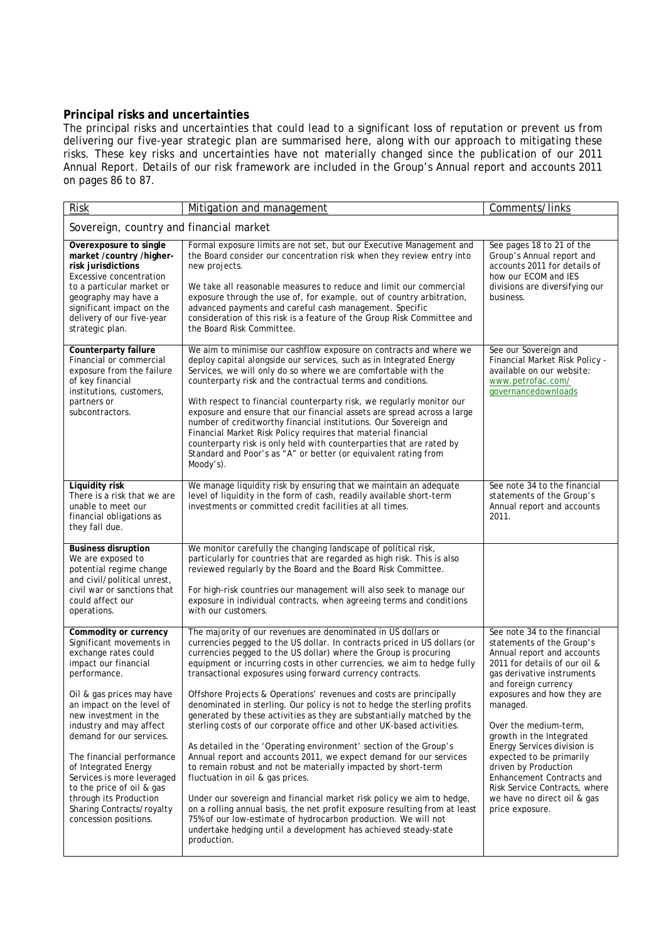## **Principal risks and uncertainties**

The principal risks and uncertainties that could lead to a significant loss of reputation or prevent us from delivering our five-year strategic plan are summarised here, along with our approach to mitigating these risks. These key risks and uncertainties have not materially changed since the publication of our 2011 Annual Report. Details of our risk framework are included in the Group's Annual report and accounts 2011 on pages 86 to 87.

| <b>Risk</b>                                                                                                                                                                                                                                                                                                                                                                                                                                                 | Mitigation and management                                                                                                                                                                                                                                                                                                                                                                                                                                                                                                                                                                                                                                                                                                                                                                                                                                                                                                                                                                                                                                                                                                                                                                                              | Comments/links                                                                                                                                                                                                                                                                                                                                                                                                                                                                   |
|-------------------------------------------------------------------------------------------------------------------------------------------------------------------------------------------------------------------------------------------------------------------------------------------------------------------------------------------------------------------------------------------------------------------------------------------------------------|------------------------------------------------------------------------------------------------------------------------------------------------------------------------------------------------------------------------------------------------------------------------------------------------------------------------------------------------------------------------------------------------------------------------------------------------------------------------------------------------------------------------------------------------------------------------------------------------------------------------------------------------------------------------------------------------------------------------------------------------------------------------------------------------------------------------------------------------------------------------------------------------------------------------------------------------------------------------------------------------------------------------------------------------------------------------------------------------------------------------------------------------------------------------------------------------------------------------|----------------------------------------------------------------------------------------------------------------------------------------------------------------------------------------------------------------------------------------------------------------------------------------------------------------------------------------------------------------------------------------------------------------------------------------------------------------------------------|
| Sovereign, country and financial market                                                                                                                                                                                                                                                                                                                                                                                                                     |                                                                                                                                                                                                                                                                                                                                                                                                                                                                                                                                                                                                                                                                                                                                                                                                                                                                                                                                                                                                                                                                                                                                                                                                                        |                                                                                                                                                                                                                                                                                                                                                                                                                                                                                  |
| Overexposure to single<br>market /country /higher-<br>risk jurisdictions<br>Excessive concentration<br>to a particular market or<br>geography may have a<br>significant impact on the<br>delivery of our five-year<br>strategic plan.                                                                                                                                                                                                                       | Formal exposure limits are not set, but our Executive Management and<br>the Board consider our concentration risk when they review entry into<br>new projects.<br>We take all reasonable measures to reduce and limit our commercial<br>exposure through the use of, for example, out of country arbitration,<br>advanced payments and careful cash management. Specific<br>consideration of this risk is a feature of the Group Risk Committee and<br>the Board Risk Committee.                                                                                                                                                                                                                                                                                                                                                                                                                                                                                                                                                                                                                                                                                                                                       | See pages 18 to 21 of the<br>Group's Annual report and<br>accounts 2011 for details of<br>how our ECOM and IES<br>divisions are diversifying our<br>business.                                                                                                                                                                                                                                                                                                                    |
| Counterparty failure<br>Financial or commercial<br>exposure from the failure<br>of key financial<br>institutions, customers,<br>partners or<br>subcontractors.                                                                                                                                                                                                                                                                                              | We aim to minimise our cashflow exposure on contracts and where we<br>deploy capital alongside our services, such as in Integrated Energy<br>Services, we will only do so where we are comfortable with the<br>counterparty risk and the contractual terms and conditions.<br>With respect to financial counterparty risk, we regularly monitor our<br>exposure and ensure that our financial assets are spread across a large<br>number of creditworthy financial institutions. Our Sovereign and<br>Financial Market Risk Policy requires that material financial<br>counterparty risk is only held with counterparties that are rated by<br>Standard and Poor's as "A" or better (or equivalent rating from<br>Moody's).                                                                                                                                                                                                                                                                                                                                                                                                                                                                                            | See our Sovereign and<br>Financial Market Risk Policy -<br>available on our website:<br>www.petrofac.com/<br>governancedownloads                                                                                                                                                                                                                                                                                                                                                 |
| Liquidity risk<br>There is a risk that we are<br>unable to meet our<br>financial obligations as<br>they fall due.                                                                                                                                                                                                                                                                                                                                           | We manage liquidity risk by ensuring that we maintain an adequate<br>level of liquidity in the form of cash, readily available short-term<br>investments or committed credit facilities at all times.                                                                                                                                                                                                                                                                                                                                                                                                                                                                                                                                                                                                                                                                                                                                                                                                                                                                                                                                                                                                                  | See note 34 to the financial<br>statements of the Group's<br>Annual report and accounts<br>2011.                                                                                                                                                                                                                                                                                                                                                                                 |
| <b>Business disruption</b><br>We are exposed to<br>potential regime change<br>and civil/political unrest,<br>civil war or sanctions that<br>could affect our<br>operations.                                                                                                                                                                                                                                                                                 | We monitor carefully the changing landscape of political risk,<br>particularly for countries that are regarded as high risk. This is also<br>reviewed regularly by the Board and the Board Risk Committee.<br>For high-risk countries our management will also seek to manage our<br>exposure in individual contracts, when agreeing terms and conditions<br>with our customers.                                                                                                                                                                                                                                                                                                                                                                                                                                                                                                                                                                                                                                                                                                                                                                                                                                       |                                                                                                                                                                                                                                                                                                                                                                                                                                                                                  |
| Commodity or currency<br>Significant movements in<br>exchange rates could<br>impact our financial<br>performance.<br>Oil & gas prices may have<br>an impact on the level of<br>new investment in the<br>industry and may affect<br>demand for our services.<br>The financial performance<br>of Integrated Energy<br>Services is more leveraged<br>to the price of oil & gas<br>through its Production<br>Sharing Contracts/royalty<br>concession positions. | The majority of our revenues are denominated in US dollars or<br>currencies pegged to the US dollar. In contracts priced in US dollars (or<br>currencies pegged to the US dollar) where the Group is procuring<br>equipment or incurring costs in other currencies, we aim to hedge fully<br>transactional exposures using forward currency contracts.<br>Offshore Projects & Operations' revenues and costs are principally<br>denominated in sterling. Our policy is not to hedge the sterling profits<br>generated by these activities as they are substantially matched by the<br>sterling costs of our corporate office and other UK-based activities.<br>As detailed in the 'Operating environment' section of the Group's<br>Annual report and accounts 2011, we expect demand for our services<br>to remain robust and not be materially impacted by short-term<br>fluctuation in oil & gas prices.<br>Under our sovereign and financial market risk policy we aim to hedge,<br>on a rolling annual basis, the net profit exposure resulting from at least<br>75% of our low-estimate of hydrocarbon production. We will not<br>undertake hedging until a development has achieved steady-state<br>production. | See note 34 to the financial<br>statements of the Group's<br>Annual report and accounts<br>2011 for details of our oil &<br>gas derivative instruments<br>and foreign currency<br>exposures and how they are<br>managed.<br>Over the medium-term,<br>growth in the Integrated<br>Energy Services division is<br>expected to be primarily<br>driven by Production<br>Enhancement Contracts and<br>Risk Service Contracts, where<br>we have no direct oil & gas<br>price exposure. |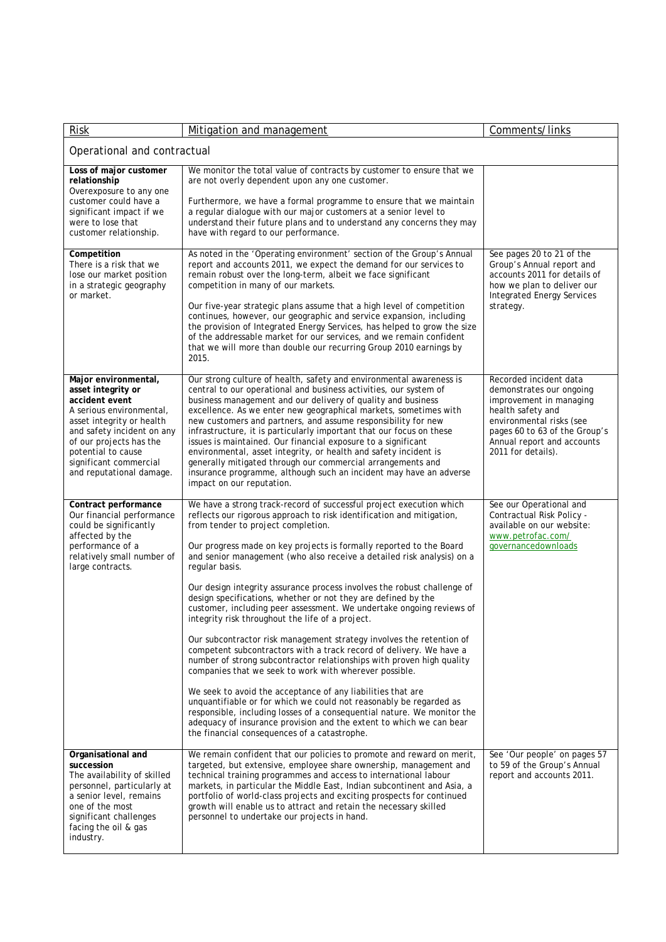| <b>Risk</b>                                                                                                                                                                                                                                                | Mitigation and management                                                                                                                                                                                                                                                                                                                                                                                                                                                                                                                                                                                                                                                                                                                                                                                                                                                                                                                                                                                                                                                                                                                                                                                                                              | Comments/links                                                                                                                                                                                                      |
|------------------------------------------------------------------------------------------------------------------------------------------------------------------------------------------------------------------------------------------------------------|--------------------------------------------------------------------------------------------------------------------------------------------------------------------------------------------------------------------------------------------------------------------------------------------------------------------------------------------------------------------------------------------------------------------------------------------------------------------------------------------------------------------------------------------------------------------------------------------------------------------------------------------------------------------------------------------------------------------------------------------------------------------------------------------------------------------------------------------------------------------------------------------------------------------------------------------------------------------------------------------------------------------------------------------------------------------------------------------------------------------------------------------------------------------------------------------------------------------------------------------------------|---------------------------------------------------------------------------------------------------------------------------------------------------------------------------------------------------------------------|
| Operational and contractual                                                                                                                                                                                                                                |                                                                                                                                                                                                                                                                                                                                                                                                                                                                                                                                                                                                                                                                                                                                                                                                                                                                                                                                                                                                                                                                                                                                                                                                                                                        |                                                                                                                                                                                                                     |
| Loss of major customer<br>relationship<br>Overexposure to any one<br>customer could have a<br>significant impact if we<br>were to lose that<br>customer relationship.                                                                                      | We monitor the total value of contracts by customer to ensure that we<br>are not overly dependent upon any one customer.<br>Furthermore, we have a formal programme to ensure that we maintain<br>a regular dialogue with our major customers at a senior level to<br>understand their future plans and to understand any concerns they may<br>have with regard to our performance.                                                                                                                                                                                                                                                                                                                                                                                                                                                                                                                                                                                                                                                                                                                                                                                                                                                                    |                                                                                                                                                                                                                     |
| Competition<br>There is a risk that we<br>lose our market position<br>in a strategic geography<br>or market.                                                                                                                                               | As noted in the 'Operating environment' section of the Group's Annual<br>report and accounts 2011, we expect the demand for our services to<br>remain robust over the long-term, albeit we face significant<br>competition in many of our markets.<br>Our five-year strategic plans assume that a high level of competition<br>continues, however, our geographic and service expansion, including<br>the provision of Integrated Energy Services, has helped to grow the size<br>of the addressable market for our services, and we remain confident<br>that we will more than double our recurring Group 2010 earnings by<br>2015.                                                                                                                                                                                                                                                                                                                                                                                                                                                                                                                                                                                                                   | See pages 20 to 21 of the<br>Group's Annual report and<br>accounts 2011 for details of<br>how we plan to deliver our<br><b>Integrated Energy Services</b><br>strategy.                                              |
| Major environmental,<br>asset integrity or<br>accident event<br>A serious environmental,<br>asset integrity or health<br>and safety incident on any<br>of our projects has the<br>potential to cause<br>significant commercial<br>and reputational damage. | Our strong culture of health, safety and environmental awareness is<br>central to our operational and business activities, our system of<br>business management and our delivery of quality and business<br>excellence. As we enter new geographical markets, sometimes with<br>new customers and partners, and assume responsibility for new<br>infrastructure, it is particularly important that our focus on these<br>issues is maintained. Our financial exposure to a significant<br>environmental, asset integrity, or health and safety incident is<br>generally mitigated through our commercial arrangements and<br>insurance programme, although such an incident may have an adverse<br>impact on our reputation.                                                                                                                                                                                                                                                                                                                                                                                                                                                                                                                           | Recorded incident data<br>demonstrates our ongoing<br>improvement in managing<br>health safety and<br>environmental risks (see<br>pages 60 to 63 of the Group's<br>Annual report and accounts<br>2011 for details). |
| Contract performance<br>Our financial performance<br>could be significantly<br>affected by the<br>performance of a<br>relatively small number of<br>large contracts.                                                                                       | We have a strong track-record of successful project execution which<br>reflects our rigorous approach to risk identification and mitigation,<br>from tender to project completion.<br>Our progress made on key projects is formally reported to the Board<br>and senior management (who also receive a detailed risk analysis) on a<br>regular basis.<br>Our design integrity assurance process involves the robust challenge of<br>design specifications, whether or not they are defined by the<br>customer, including peer assessment. We undertake ongoing reviews of<br>integrity risk throughout the life of a project.<br>Our subcontractor risk management strategy involves the retention of<br>competent subcontractors with a track record of delivery. We have a<br>number of strong subcontractor relationships with proven high quality<br>companies that we seek to work with wherever possible.<br>We seek to avoid the acceptance of any liabilities that are<br>unquantifiable or for which we could not reasonably be regarded as<br>responsible, including losses of a consequential nature. We monitor the<br>adequacy of insurance provision and the extent to which we can bear<br>the financial consequences of a catastrophe. | See our Operational and<br>Contractual Risk Policy -<br>available on our website:<br>www.petrofac.com/<br>governancedownloads                                                                                       |
| Organisational and<br>succession<br>The availability of skilled<br>personnel, particularly at<br>a senior level, remains<br>one of the most<br>significant challenges<br>facing the oil & gas<br>industry.                                                 | We remain confident that our policies to promote and reward on merit,<br>targeted, but extensive, employee share ownership, management and<br>technical training programmes and access to international labour<br>markets, in particular the Middle East, Indian subcontinent and Asia, a<br>portfolio of world-class projects and exciting prospects for continued<br>growth will enable us to attract and retain the necessary skilled<br>personnel to undertake our projects in hand.                                                                                                                                                                                                                                                                                                                                                                                                                                                                                                                                                                                                                                                                                                                                                               | See 'Our people' on pages 57<br>to 59 of the Group's Annual<br>report and accounts 2011.                                                                                                                            |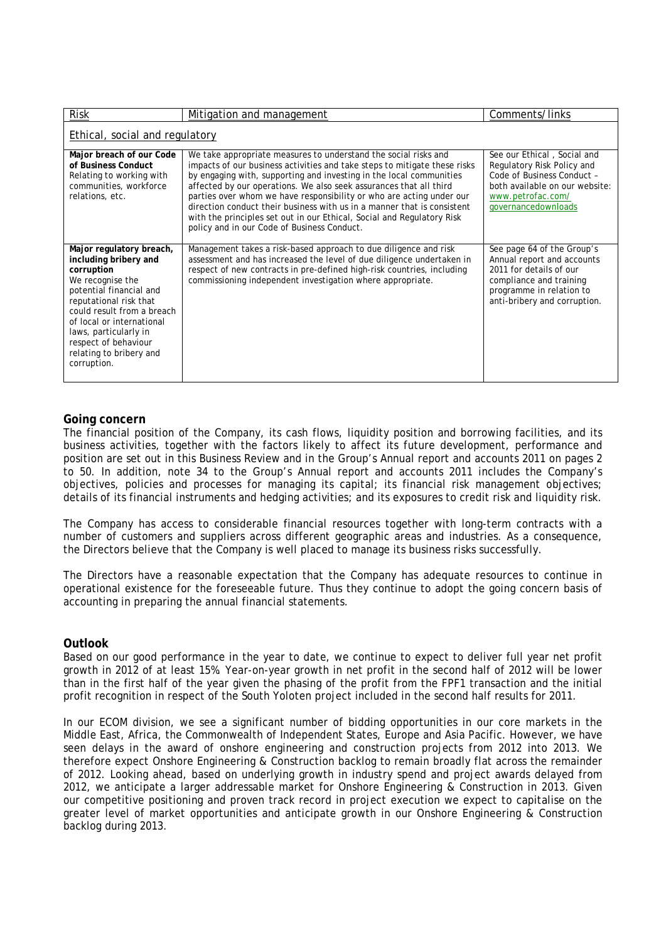| <b>Risk</b>                                                                                                                                                                                                                                                                                    | Mitigation and management                                                                                                                                                                                                                                                                                                                                                                                                                                                                                                                                             | Comments/links                                                                                                                                                             |
|------------------------------------------------------------------------------------------------------------------------------------------------------------------------------------------------------------------------------------------------------------------------------------------------|-----------------------------------------------------------------------------------------------------------------------------------------------------------------------------------------------------------------------------------------------------------------------------------------------------------------------------------------------------------------------------------------------------------------------------------------------------------------------------------------------------------------------------------------------------------------------|----------------------------------------------------------------------------------------------------------------------------------------------------------------------------|
| Ethical, social and regulatory                                                                                                                                                                                                                                                                 |                                                                                                                                                                                                                                                                                                                                                                                                                                                                                                                                                                       |                                                                                                                                                                            |
| Major breach of our Code<br>of Business Conduct<br>Relating to working with<br>communities, workforce<br>relations, etc.                                                                                                                                                                       | We take appropriate measures to understand the social risks and<br>impacts of our business activities and take steps to mitigate these risks<br>by engaging with, supporting and investing in the local communities<br>affected by our operations. We also seek assurances that all third<br>parties over whom we have responsibility or who are acting under our<br>direction conduct their business with us in a manner that is consistent<br>with the principles set out in our Ethical, Social and Regulatory Risk<br>policy and in our Code of Business Conduct. | See our Ethical, Social and<br>Regulatory Risk Policy and<br>Code of Business Conduct -<br>both available on our website:<br>www.petrofac.com/<br>governancedownloads      |
| Major regulatory breach,<br>including bribery and<br>corruption<br>We recognise the<br>potential financial and<br>reputational risk that<br>could result from a breach<br>of local or international<br>laws, particularly in<br>respect of behaviour<br>relating to bribery and<br>corruption. | Management takes a risk-based approach to due diligence and risk<br>assessment and has increased the level of due diligence undertaken in<br>respect of new contracts in pre-defined high-risk countries, including<br>commissioning independent investigation where appropriate.                                                                                                                                                                                                                                                                                     | See page 64 of the Group's<br>Annual report and accounts<br>2011 for details of our<br>compliance and training<br>programme in relation to<br>anti-bribery and corruption. |

## **Going concern**

The financial position of the Company, its cash flows, liquidity position and borrowing facilities, and its business activities, together with the factors likely to affect its future development, performance and position are set out in this Business Review and in the Group's Annual report and accounts 2011 on pages 2 to 50. In addition, note 34 to the Group's Annual report and accounts 2011 includes the Company's objectives, policies and processes for managing its capital; its financial risk management objectives; details of its financial instruments and hedging activities; and its exposures to credit risk and liquidity risk.

The Company has access to considerable financial resources together with long-term contracts with a number of customers and suppliers across different geographic areas and industries. As a consequence, the Directors believe that the Company is well placed to manage its business risks successfully.

The Directors have a reasonable expectation that the Company has adequate resources to continue in operational existence for the foreseeable future. Thus they continue to adopt the going concern basis of accounting in preparing the annual financial statements.

## **Outlook**

Based on our good performance in the year to date, we continue to expect to deliver full year net profit growth in 2012 of at least 15%. Year-on-year growth in net profit in the second half of 2012 will be lower than in the first half of the year given the phasing of the profit from the FPF1 transaction and the initial profit recognition in respect of the South Yoloten project included in the second half results for 2011.

In our ECOM division, we see a significant number of bidding opportunities in our core markets in the Middle East, Africa, the Commonwealth of Independent States, Europe and Asia Pacific. However, we have seen delays in the award of onshore engineering and construction projects from 2012 into 2013. We therefore expect Onshore Engineering & Construction backlog to remain broadly flat across the remainder of 2012. Looking ahead, based on underlying growth in industry spend and project awards delayed from 2012, we anticipate a larger addressable market for Onshore Engineering & Construction in 2013. Given our competitive positioning and proven track record in project execution we expect to capitalise on the greater level of market opportunities and anticipate growth in our Onshore Engineering & Construction backlog during 2013.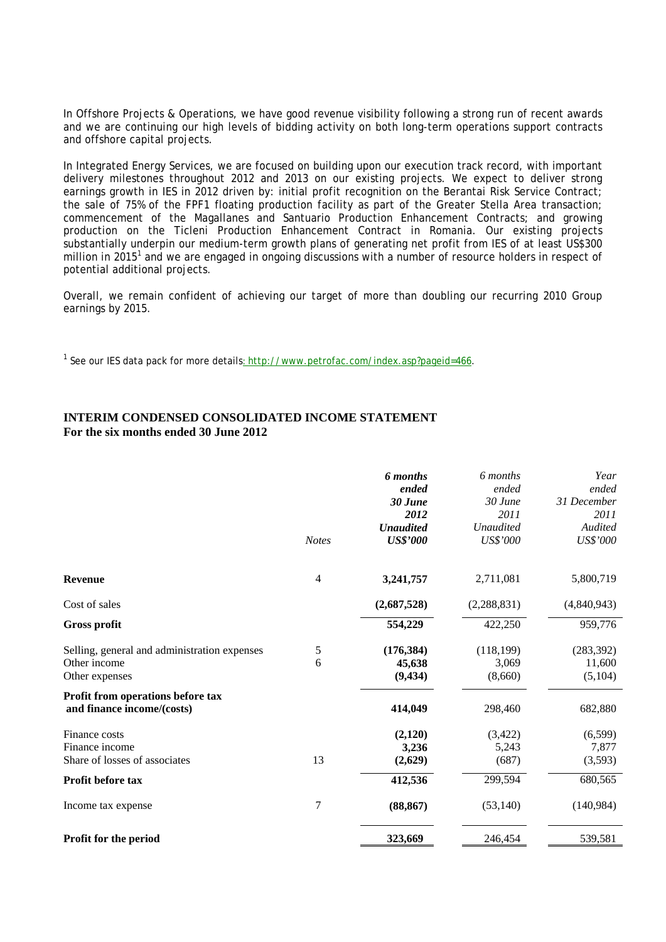In Offshore Projects & Operations, we have good revenue visibility following a strong run of recent awards and we are continuing our high levels of bidding activity on both long-term operations support contracts and offshore capital projects.

In Integrated Energy Services, we are focused on building upon our execution track record, with important delivery milestones throughout 2012 and 2013 on our existing projects. We expect to deliver strong earnings growth in IES in 2012 driven by: initial profit recognition on the Berantai Risk Service Contract; the sale of 75% of the FPF1 floating production facility as part of the Greater Stella Area transaction; commencement of the Magallanes and Santuario Production Enhancement Contracts; and growing production on the Ticleni Production Enhancement Contract in Romania. Our existing projects substantially underpin our medium-term growth plans of generating net profit from IES of at least US\$300 million in 2015<sup>1</sup> and we are engaged in ongoing discussions with a number of resource holders in respect of potential additional projects.

Overall, we remain confident of achieving our target of more than doubling our recurring 2010 Group earnings by 2015.

<sup>1</sup> See our IES data pack for more details<u>: http://www.petrofac.com/index.asp?pageid=466</u>.

## **INTERIM CONDENSED CONSOLIDATED INCOME STATEMENT For the six months ended 30 June 2012**

|                                                                                | <b>Notes</b>   | <b>6</b> months<br>ended<br>30 June<br>2012<br><b>Unaudited</b><br><b>US\$'000</b> | 6 months<br>ended<br>30 June<br>2011<br><b>Unaudited</b><br>US\$'000 | Year<br>ended<br>31 December<br>2011<br>Audited<br><b>US\$'000</b> |
|--------------------------------------------------------------------------------|----------------|------------------------------------------------------------------------------------|----------------------------------------------------------------------|--------------------------------------------------------------------|
| <b>Revenue</b>                                                                 | $\overline{4}$ | 3,241,757                                                                          | 2,711,081                                                            | 5,800,719                                                          |
| Cost of sales                                                                  |                | (2,687,528)                                                                        | (2, 288, 831)                                                        | (4,840,943)                                                        |
| <b>Gross profit</b>                                                            |                | 554,229                                                                            | 422,250                                                              | 959,776                                                            |
| Selling, general and administration expenses<br>Other income<br>Other expenses | 5<br>6         | (176, 384)<br>45,638<br>(9, 434)                                                   | (118, 199)<br>3,069<br>(8,660)                                       | (283, 392)<br>11,600<br>(5,104)                                    |
| Profit from operations before tax<br>and finance income/(costs)                |                | 414,049                                                                            | 298,460                                                              | 682,880                                                            |
| Finance costs<br>Finance income<br>Share of losses of associates               | 13             | (2,120)<br>3,236<br>(2,629)                                                        | (3,422)<br>5,243<br>(687)                                            | (6,599)<br>7,877<br>(3,593)                                        |
| Profit before tax                                                              |                | 412,536                                                                            | 299,594                                                              | 680,565                                                            |
| Income tax expense                                                             | 7              | (88, 867)                                                                          | (53, 140)                                                            | (140, 984)                                                         |
| Profit for the period                                                          |                | 323,669                                                                            | 246,454                                                              | 539,581                                                            |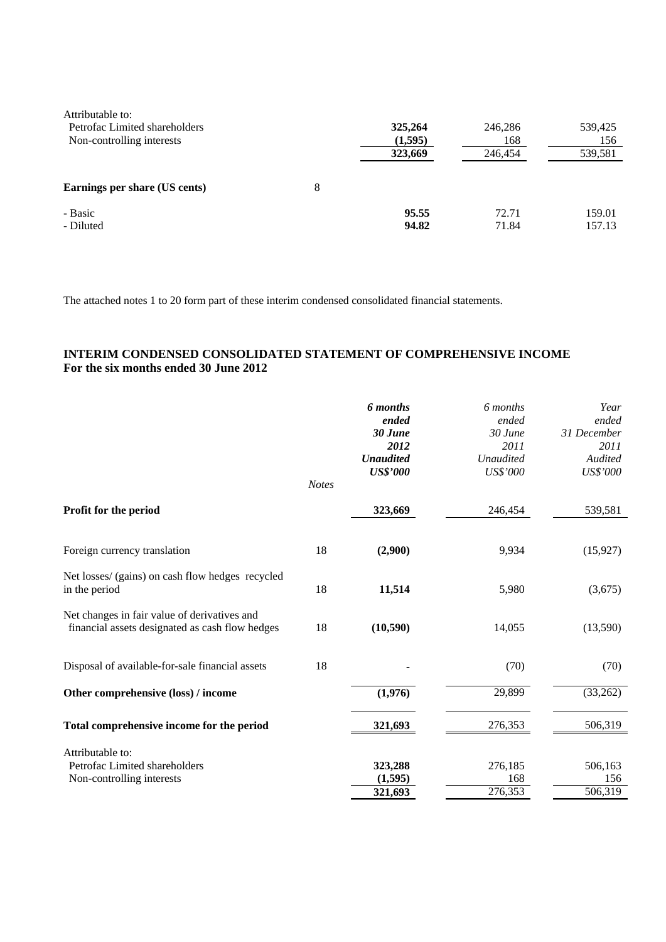| Attributable to:<br>Petrofac Limited shareholders<br>Non-controlling interests |   | 325,264<br>(1,595) | 246,286<br>168 | 539,425<br>156   |
|--------------------------------------------------------------------------------|---|--------------------|----------------|------------------|
|                                                                                |   | 323,669            | 246,454        | 539,581          |
| Earnings per share (US cents)                                                  | 8 |                    |                |                  |
| - Basic<br>- Diluted                                                           |   | 95.55<br>94.82     | 72.71<br>71.84 | 159.01<br>157.13 |

The attached notes 1 to 20 form part of these interim condensed consolidated financial statements.

## **INTERIM CONDENSED CONSOLIDATED STATEMENT OF COMPREHENSIVE INCOME For the six months ended 30 June 2012**

|                                                                                                 | <b>Notes</b> | 6 months<br>ended<br>30 June<br>2012<br><b>Unaudited</b><br><b>US\$'000</b> | 6 months<br>ended<br>$30$ June<br>2011<br><b>Unaudited</b><br>US\$'000 | Year<br>ended<br>31 December<br>2011<br>Audited<br>US\$'000 |
|-------------------------------------------------------------------------------------------------|--------------|-----------------------------------------------------------------------------|------------------------------------------------------------------------|-------------------------------------------------------------|
| Profit for the period                                                                           |              | 323,669                                                                     | 246,454                                                                | 539,581                                                     |
| Foreign currency translation                                                                    | 18           | (2,900)                                                                     | 9,934                                                                  | (15, 927)                                                   |
| Net losses/ (gains) on cash flow hedges recycled<br>in the period                               | 18           | 11,514                                                                      | 5,980                                                                  | (3,675)                                                     |
| Net changes in fair value of derivatives and<br>financial assets designated as cash flow hedges | 18           | (10, 590)                                                                   | 14,055                                                                 | (13,590)                                                    |
| Disposal of available-for-sale financial assets                                                 | 18           |                                                                             | (70)                                                                   | (70)                                                        |
| Other comprehensive (loss) / income                                                             |              | (1,976)                                                                     | 29,899                                                                 | (33,262)                                                    |
| Total comprehensive income for the period                                                       |              | 321,693                                                                     | 276,353                                                                | 506,319                                                     |
| Attributable to:<br>Petrofac Limited shareholders<br>Non-controlling interests                  |              | 323,288<br>(1,595)<br>321,693                                               | 276,185<br>168<br>276,353                                              | 506,163<br>156<br>506,319                                   |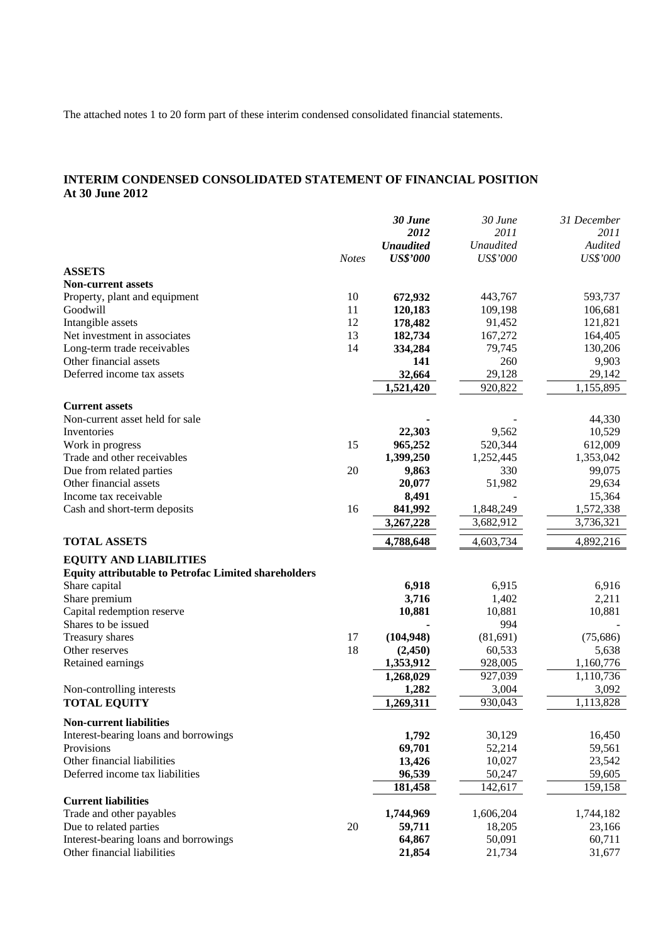The attached notes 1 to 20 form part of these interim condensed consolidated financial statements.

# **INTERIM CONDENSED CONSOLIDATED STATEMENT OF FINANCIAL POSITION At 30 June 2012**

| 2012<br>2011<br>2011<br><b>Unaudited</b><br><b>Unaudited</b><br>Audited<br><b>US\$'000</b><br>US\$'000<br>US\$'000<br><b>Notes</b><br><b>ASSETS</b><br><b>Non-current assets</b><br>10<br>672,932<br>443,767<br>593,737<br>Property, plant and equipment<br>11<br>Goodwill<br>120,183<br>109,198<br>106,681<br>12<br>Intangible assets<br>178,482<br>91,452<br>121,821<br>13<br>Net investment in associates<br>182,734<br>167,272<br>164,405<br>14<br>79,745<br>130,206<br>Long-term trade receivables<br>334,284<br>Other financial assets<br>260<br>141<br>9,903<br>Deferred income tax assets<br>29,128<br>32,664<br>29,142<br>1,521,420<br>920,822<br>1,155,895<br><b>Current assets</b><br>Non-current asset held for sale<br>44,330<br>Inventories<br>22,303<br>9,562<br>10,529<br>15<br>Work in progress<br>520,344<br>612,009<br>965,252<br>Trade and other receivables<br>1,399,250<br>1,252,445<br>1,353,042<br>20<br>99,075<br>Due from related parties<br>9,863<br>330<br>51,982<br>Other financial assets<br>20,077<br>29,634<br>15,364<br>Income tax receivable<br>8,491<br>16<br>841,992<br>Cash and short-term deposits<br>1,848,249<br>1,572,338<br>3,267,228<br>3,682,912<br>3,736,321<br>4,788,648<br>4,892,216<br><b>TOTAL ASSETS</b><br>4,603,734<br><b>EQUITY AND LIABILITIES</b><br><b>Equity attributable to Petrofac Limited shareholders</b><br>6,918<br>6,916<br>Share capital<br>6,915<br>2,211<br>Share premium<br>3,716<br>1,402<br>10,881<br>Capital redemption reserve<br>10,881<br>10,881<br>Shares to be issued<br>994<br>17<br>Treasury shares<br>(104, 948)<br>(81,691)<br>(75,686)<br>18<br>60,533<br>Other reserves<br>(2,450)<br>5,638<br>1,353,912<br>928,005<br>1,160,776<br>Retained earnings<br>1,268,029<br>927,039<br>1,110,736<br>Non-controlling interests<br>1,282<br>3,004<br>3,092<br>930,043<br>1,113,828<br>1,269,311<br><b>TOTAL EQUITY</b><br><b>Non-current liabilities</b><br>30,129<br>Interest-bearing loans and borrowings<br>1,792<br>16,450<br>69,701<br>59,561<br>Provisions<br>52,214<br>Other financial liabilities<br>10,027<br>23,542<br>13,426<br>Deferred income tax liabilities<br>50,247<br>59,605<br>96,539<br>142,617<br>159,158<br>181,458<br><b>Current liabilities</b><br>1,744,969<br>Trade and other payables<br>1,606,204<br>1,744,182<br>Due to related parties<br>20<br>59,711<br>18,205<br>23,166<br>Interest-bearing loans and borrowings<br>64,867<br>50,091<br>60,711<br>Other financial liabilities<br>21,854<br>21,734<br>31,677 |  | 30 June | 30 June | 31 December |
|-------------------------------------------------------------------------------------------------------------------------------------------------------------------------------------------------------------------------------------------------------------------------------------------------------------------------------------------------------------------------------------------------------------------------------------------------------------------------------------------------------------------------------------------------------------------------------------------------------------------------------------------------------------------------------------------------------------------------------------------------------------------------------------------------------------------------------------------------------------------------------------------------------------------------------------------------------------------------------------------------------------------------------------------------------------------------------------------------------------------------------------------------------------------------------------------------------------------------------------------------------------------------------------------------------------------------------------------------------------------------------------------------------------------------------------------------------------------------------------------------------------------------------------------------------------------------------------------------------------------------------------------------------------------------------------------------------------------------------------------------------------------------------------------------------------------------------------------------------------------------------------------------------------------------------------------------------------------------------------------------------------------------------------------------------------------------------------------------------------------------------------------------------------------------------------------------------------------------------------------------------------------------------------------------------------------------------------------------------------------------------------------------------------------------------------------------------------------------------------------------------------------------|--|---------|---------|-------------|
|                                                                                                                                                                                                                                                                                                                                                                                                                                                                                                                                                                                                                                                                                                                                                                                                                                                                                                                                                                                                                                                                                                                                                                                                                                                                                                                                                                                                                                                                                                                                                                                                                                                                                                                                                                                                                                                                                                                                                                                                                                                                                                                                                                                                                                                                                                                                                                                                                                                                                                                         |  |         |         |             |
|                                                                                                                                                                                                                                                                                                                                                                                                                                                                                                                                                                                                                                                                                                                                                                                                                                                                                                                                                                                                                                                                                                                                                                                                                                                                                                                                                                                                                                                                                                                                                                                                                                                                                                                                                                                                                                                                                                                                                                                                                                                                                                                                                                                                                                                                                                                                                                                                                                                                                                                         |  |         |         |             |
|                                                                                                                                                                                                                                                                                                                                                                                                                                                                                                                                                                                                                                                                                                                                                                                                                                                                                                                                                                                                                                                                                                                                                                                                                                                                                                                                                                                                                                                                                                                                                                                                                                                                                                                                                                                                                                                                                                                                                                                                                                                                                                                                                                                                                                                                                                                                                                                                                                                                                                                         |  |         |         |             |
|                                                                                                                                                                                                                                                                                                                                                                                                                                                                                                                                                                                                                                                                                                                                                                                                                                                                                                                                                                                                                                                                                                                                                                                                                                                                                                                                                                                                                                                                                                                                                                                                                                                                                                                                                                                                                                                                                                                                                                                                                                                                                                                                                                                                                                                                                                                                                                                                                                                                                                                         |  |         |         |             |
|                                                                                                                                                                                                                                                                                                                                                                                                                                                                                                                                                                                                                                                                                                                                                                                                                                                                                                                                                                                                                                                                                                                                                                                                                                                                                                                                                                                                                                                                                                                                                                                                                                                                                                                                                                                                                                                                                                                                                                                                                                                                                                                                                                                                                                                                                                                                                                                                                                                                                                                         |  |         |         |             |
|                                                                                                                                                                                                                                                                                                                                                                                                                                                                                                                                                                                                                                                                                                                                                                                                                                                                                                                                                                                                                                                                                                                                                                                                                                                                                                                                                                                                                                                                                                                                                                                                                                                                                                                                                                                                                                                                                                                                                                                                                                                                                                                                                                                                                                                                                                                                                                                                                                                                                                                         |  |         |         |             |
|                                                                                                                                                                                                                                                                                                                                                                                                                                                                                                                                                                                                                                                                                                                                                                                                                                                                                                                                                                                                                                                                                                                                                                                                                                                                                                                                                                                                                                                                                                                                                                                                                                                                                                                                                                                                                                                                                                                                                                                                                                                                                                                                                                                                                                                                                                                                                                                                                                                                                                                         |  |         |         |             |
|                                                                                                                                                                                                                                                                                                                                                                                                                                                                                                                                                                                                                                                                                                                                                                                                                                                                                                                                                                                                                                                                                                                                                                                                                                                                                                                                                                                                                                                                                                                                                                                                                                                                                                                                                                                                                                                                                                                                                                                                                                                                                                                                                                                                                                                                                                                                                                                                                                                                                                                         |  |         |         |             |
|                                                                                                                                                                                                                                                                                                                                                                                                                                                                                                                                                                                                                                                                                                                                                                                                                                                                                                                                                                                                                                                                                                                                                                                                                                                                                                                                                                                                                                                                                                                                                                                                                                                                                                                                                                                                                                                                                                                                                                                                                                                                                                                                                                                                                                                                                                                                                                                                                                                                                                                         |  |         |         |             |
|                                                                                                                                                                                                                                                                                                                                                                                                                                                                                                                                                                                                                                                                                                                                                                                                                                                                                                                                                                                                                                                                                                                                                                                                                                                                                                                                                                                                                                                                                                                                                                                                                                                                                                                                                                                                                                                                                                                                                                                                                                                                                                                                                                                                                                                                                                                                                                                                                                                                                                                         |  |         |         |             |
|                                                                                                                                                                                                                                                                                                                                                                                                                                                                                                                                                                                                                                                                                                                                                                                                                                                                                                                                                                                                                                                                                                                                                                                                                                                                                                                                                                                                                                                                                                                                                                                                                                                                                                                                                                                                                                                                                                                                                                                                                                                                                                                                                                                                                                                                                                                                                                                                                                                                                                                         |  |         |         |             |
|                                                                                                                                                                                                                                                                                                                                                                                                                                                                                                                                                                                                                                                                                                                                                                                                                                                                                                                                                                                                                                                                                                                                                                                                                                                                                                                                                                                                                                                                                                                                                                                                                                                                                                                                                                                                                                                                                                                                                                                                                                                                                                                                                                                                                                                                                                                                                                                                                                                                                                                         |  |         |         |             |
|                                                                                                                                                                                                                                                                                                                                                                                                                                                                                                                                                                                                                                                                                                                                                                                                                                                                                                                                                                                                                                                                                                                                                                                                                                                                                                                                                                                                                                                                                                                                                                                                                                                                                                                                                                                                                                                                                                                                                                                                                                                                                                                                                                                                                                                                                                                                                                                                                                                                                                                         |  |         |         |             |
|                                                                                                                                                                                                                                                                                                                                                                                                                                                                                                                                                                                                                                                                                                                                                                                                                                                                                                                                                                                                                                                                                                                                                                                                                                                                                                                                                                                                                                                                                                                                                                                                                                                                                                                                                                                                                                                                                                                                                                                                                                                                                                                                                                                                                                                                                                                                                                                                                                                                                                                         |  |         |         |             |
|                                                                                                                                                                                                                                                                                                                                                                                                                                                                                                                                                                                                                                                                                                                                                                                                                                                                                                                                                                                                                                                                                                                                                                                                                                                                                                                                                                                                                                                                                                                                                                                                                                                                                                                                                                                                                                                                                                                                                                                                                                                                                                                                                                                                                                                                                                                                                                                                                                                                                                                         |  |         |         |             |
|                                                                                                                                                                                                                                                                                                                                                                                                                                                                                                                                                                                                                                                                                                                                                                                                                                                                                                                                                                                                                                                                                                                                                                                                                                                                                                                                                                                                                                                                                                                                                                                                                                                                                                                                                                                                                                                                                                                                                                                                                                                                                                                                                                                                                                                                                                                                                                                                                                                                                                                         |  |         |         |             |
|                                                                                                                                                                                                                                                                                                                                                                                                                                                                                                                                                                                                                                                                                                                                                                                                                                                                                                                                                                                                                                                                                                                                                                                                                                                                                                                                                                                                                                                                                                                                                                                                                                                                                                                                                                                                                                                                                                                                                                                                                                                                                                                                                                                                                                                                                                                                                                                                                                                                                                                         |  |         |         |             |
|                                                                                                                                                                                                                                                                                                                                                                                                                                                                                                                                                                                                                                                                                                                                                                                                                                                                                                                                                                                                                                                                                                                                                                                                                                                                                                                                                                                                                                                                                                                                                                                                                                                                                                                                                                                                                                                                                                                                                                                                                                                                                                                                                                                                                                                                                                                                                                                                                                                                                                                         |  |         |         |             |
|                                                                                                                                                                                                                                                                                                                                                                                                                                                                                                                                                                                                                                                                                                                                                                                                                                                                                                                                                                                                                                                                                                                                                                                                                                                                                                                                                                                                                                                                                                                                                                                                                                                                                                                                                                                                                                                                                                                                                                                                                                                                                                                                                                                                                                                                                                                                                                                                                                                                                                                         |  |         |         |             |
|                                                                                                                                                                                                                                                                                                                                                                                                                                                                                                                                                                                                                                                                                                                                                                                                                                                                                                                                                                                                                                                                                                                                                                                                                                                                                                                                                                                                                                                                                                                                                                                                                                                                                                                                                                                                                                                                                                                                                                                                                                                                                                                                                                                                                                                                                                                                                                                                                                                                                                                         |  |         |         |             |
|                                                                                                                                                                                                                                                                                                                                                                                                                                                                                                                                                                                                                                                                                                                                                                                                                                                                                                                                                                                                                                                                                                                                                                                                                                                                                                                                                                                                                                                                                                                                                                                                                                                                                                                                                                                                                                                                                                                                                                                                                                                                                                                                                                                                                                                                                                                                                                                                                                                                                                                         |  |         |         |             |
|                                                                                                                                                                                                                                                                                                                                                                                                                                                                                                                                                                                                                                                                                                                                                                                                                                                                                                                                                                                                                                                                                                                                                                                                                                                                                                                                                                                                                                                                                                                                                                                                                                                                                                                                                                                                                                                                                                                                                                                                                                                                                                                                                                                                                                                                                                                                                                                                                                                                                                                         |  |         |         |             |
|                                                                                                                                                                                                                                                                                                                                                                                                                                                                                                                                                                                                                                                                                                                                                                                                                                                                                                                                                                                                                                                                                                                                                                                                                                                                                                                                                                                                                                                                                                                                                                                                                                                                                                                                                                                                                                                                                                                                                                                                                                                                                                                                                                                                                                                                                                                                                                                                                                                                                                                         |  |         |         |             |
|                                                                                                                                                                                                                                                                                                                                                                                                                                                                                                                                                                                                                                                                                                                                                                                                                                                                                                                                                                                                                                                                                                                                                                                                                                                                                                                                                                                                                                                                                                                                                                                                                                                                                                                                                                                                                                                                                                                                                                                                                                                                                                                                                                                                                                                                                                                                                                                                                                                                                                                         |  |         |         |             |
|                                                                                                                                                                                                                                                                                                                                                                                                                                                                                                                                                                                                                                                                                                                                                                                                                                                                                                                                                                                                                                                                                                                                                                                                                                                                                                                                                                                                                                                                                                                                                                                                                                                                                                                                                                                                                                                                                                                                                                                                                                                                                                                                                                                                                                                                                                                                                                                                                                                                                                                         |  |         |         |             |
|                                                                                                                                                                                                                                                                                                                                                                                                                                                                                                                                                                                                                                                                                                                                                                                                                                                                                                                                                                                                                                                                                                                                                                                                                                                                                                                                                                                                                                                                                                                                                                                                                                                                                                                                                                                                                                                                                                                                                                                                                                                                                                                                                                                                                                                                                                                                                                                                                                                                                                                         |  |         |         |             |
|                                                                                                                                                                                                                                                                                                                                                                                                                                                                                                                                                                                                                                                                                                                                                                                                                                                                                                                                                                                                                                                                                                                                                                                                                                                                                                                                                                                                                                                                                                                                                                                                                                                                                                                                                                                                                                                                                                                                                                                                                                                                                                                                                                                                                                                                                                                                                                                                                                                                                                                         |  |         |         |             |
|                                                                                                                                                                                                                                                                                                                                                                                                                                                                                                                                                                                                                                                                                                                                                                                                                                                                                                                                                                                                                                                                                                                                                                                                                                                                                                                                                                                                                                                                                                                                                                                                                                                                                                                                                                                                                                                                                                                                                                                                                                                                                                                                                                                                                                                                                                                                                                                                                                                                                                                         |  |         |         |             |
|                                                                                                                                                                                                                                                                                                                                                                                                                                                                                                                                                                                                                                                                                                                                                                                                                                                                                                                                                                                                                                                                                                                                                                                                                                                                                                                                                                                                                                                                                                                                                                                                                                                                                                                                                                                                                                                                                                                                                                                                                                                                                                                                                                                                                                                                                                                                                                                                                                                                                                                         |  |         |         |             |
|                                                                                                                                                                                                                                                                                                                                                                                                                                                                                                                                                                                                                                                                                                                                                                                                                                                                                                                                                                                                                                                                                                                                                                                                                                                                                                                                                                                                                                                                                                                                                                                                                                                                                                                                                                                                                                                                                                                                                                                                                                                                                                                                                                                                                                                                                                                                                                                                                                                                                                                         |  |         |         |             |
|                                                                                                                                                                                                                                                                                                                                                                                                                                                                                                                                                                                                                                                                                                                                                                                                                                                                                                                                                                                                                                                                                                                                                                                                                                                                                                                                                                                                                                                                                                                                                                                                                                                                                                                                                                                                                                                                                                                                                                                                                                                                                                                                                                                                                                                                                                                                                                                                                                                                                                                         |  |         |         |             |
|                                                                                                                                                                                                                                                                                                                                                                                                                                                                                                                                                                                                                                                                                                                                                                                                                                                                                                                                                                                                                                                                                                                                                                                                                                                                                                                                                                                                                                                                                                                                                                                                                                                                                                                                                                                                                                                                                                                                                                                                                                                                                                                                                                                                                                                                                                                                                                                                                                                                                                                         |  |         |         |             |
|                                                                                                                                                                                                                                                                                                                                                                                                                                                                                                                                                                                                                                                                                                                                                                                                                                                                                                                                                                                                                                                                                                                                                                                                                                                                                                                                                                                                                                                                                                                                                                                                                                                                                                                                                                                                                                                                                                                                                                                                                                                                                                                                                                                                                                                                                                                                                                                                                                                                                                                         |  |         |         |             |
|                                                                                                                                                                                                                                                                                                                                                                                                                                                                                                                                                                                                                                                                                                                                                                                                                                                                                                                                                                                                                                                                                                                                                                                                                                                                                                                                                                                                                                                                                                                                                                                                                                                                                                                                                                                                                                                                                                                                                                                                                                                                                                                                                                                                                                                                                                                                                                                                                                                                                                                         |  |         |         |             |
|                                                                                                                                                                                                                                                                                                                                                                                                                                                                                                                                                                                                                                                                                                                                                                                                                                                                                                                                                                                                                                                                                                                                                                                                                                                                                                                                                                                                                                                                                                                                                                                                                                                                                                                                                                                                                                                                                                                                                                                                                                                                                                                                                                                                                                                                                                                                                                                                                                                                                                                         |  |         |         |             |
|                                                                                                                                                                                                                                                                                                                                                                                                                                                                                                                                                                                                                                                                                                                                                                                                                                                                                                                                                                                                                                                                                                                                                                                                                                                                                                                                                                                                                                                                                                                                                                                                                                                                                                                                                                                                                                                                                                                                                                                                                                                                                                                                                                                                                                                                                                                                                                                                                                                                                                                         |  |         |         |             |
|                                                                                                                                                                                                                                                                                                                                                                                                                                                                                                                                                                                                                                                                                                                                                                                                                                                                                                                                                                                                                                                                                                                                                                                                                                                                                                                                                                                                                                                                                                                                                                                                                                                                                                                                                                                                                                                                                                                                                                                                                                                                                                                                                                                                                                                                                                                                                                                                                                                                                                                         |  |         |         |             |
|                                                                                                                                                                                                                                                                                                                                                                                                                                                                                                                                                                                                                                                                                                                                                                                                                                                                                                                                                                                                                                                                                                                                                                                                                                                                                                                                                                                                                                                                                                                                                                                                                                                                                                                                                                                                                                                                                                                                                                                                                                                                                                                                                                                                                                                                                                                                                                                                                                                                                                                         |  |         |         |             |
|                                                                                                                                                                                                                                                                                                                                                                                                                                                                                                                                                                                                                                                                                                                                                                                                                                                                                                                                                                                                                                                                                                                                                                                                                                                                                                                                                                                                                                                                                                                                                                                                                                                                                                                                                                                                                                                                                                                                                                                                                                                                                                                                                                                                                                                                                                                                                                                                                                                                                                                         |  |         |         |             |
|                                                                                                                                                                                                                                                                                                                                                                                                                                                                                                                                                                                                                                                                                                                                                                                                                                                                                                                                                                                                                                                                                                                                                                                                                                                                                                                                                                                                                                                                                                                                                                                                                                                                                                                                                                                                                                                                                                                                                                                                                                                                                                                                                                                                                                                                                                                                                                                                                                                                                                                         |  |         |         |             |
|                                                                                                                                                                                                                                                                                                                                                                                                                                                                                                                                                                                                                                                                                                                                                                                                                                                                                                                                                                                                                                                                                                                                                                                                                                                                                                                                                                                                                                                                                                                                                                                                                                                                                                                                                                                                                                                                                                                                                                                                                                                                                                                                                                                                                                                                                                                                                                                                                                                                                                                         |  |         |         |             |
|                                                                                                                                                                                                                                                                                                                                                                                                                                                                                                                                                                                                                                                                                                                                                                                                                                                                                                                                                                                                                                                                                                                                                                                                                                                                                                                                                                                                                                                                                                                                                                                                                                                                                                                                                                                                                                                                                                                                                                                                                                                                                                                                                                                                                                                                                                                                                                                                                                                                                                                         |  |         |         |             |
|                                                                                                                                                                                                                                                                                                                                                                                                                                                                                                                                                                                                                                                                                                                                                                                                                                                                                                                                                                                                                                                                                                                                                                                                                                                                                                                                                                                                                                                                                                                                                                                                                                                                                                                                                                                                                                                                                                                                                                                                                                                                                                                                                                                                                                                                                                                                                                                                                                                                                                                         |  |         |         |             |
|                                                                                                                                                                                                                                                                                                                                                                                                                                                                                                                                                                                                                                                                                                                                                                                                                                                                                                                                                                                                                                                                                                                                                                                                                                                                                                                                                                                                                                                                                                                                                                                                                                                                                                                                                                                                                                                                                                                                                                                                                                                                                                                                                                                                                                                                                                                                                                                                                                                                                                                         |  |         |         |             |
|                                                                                                                                                                                                                                                                                                                                                                                                                                                                                                                                                                                                                                                                                                                                                                                                                                                                                                                                                                                                                                                                                                                                                                                                                                                                                                                                                                                                                                                                                                                                                                                                                                                                                                                                                                                                                                                                                                                                                                                                                                                                                                                                                                                                                                                                                                                                                                                                                                                                                                                         |  |         |         |             |
|                                                                                                                                                                                                                                                                                                                                                                                                                                                                                                                                                                                                                                                                                                                                                                                                                                                                                                                                                                                                                                                                                                                                                                                                                                                                                                                                                                                                                                                                                                                                                                                                                                                                                                                                                                                                                                                                                                                                                                                                                                                                                                                                                                                                                                                                                                                                                                                                                                                                                                                         |  |         |         |             |
|                                                                                                                                                                                                                                                                                                                                                                                                                                                                                                                                                                                                                                                                                                                                                                                                                                                                                                                                                                                                                                                                                                                                                                                                                                                                                                                                                                                                                                                                                                                                                                                                                                                                                                                                                                                                                                                                                                                                                                                                                                                                                                                                                                                                                                                                                                                                                                                                                                                                                                                         |  |         |         |             |
|                                                                                                                                                                                                                                                                                                                                                                                                                                                                                                                                                                                                                                                                                                                                                                                                                                                                                                                                                                                                                                                                                                                                                                                                                                                                                                                                                                                                                                                                                                                                                                                                                                                                                                                                                                                                                                                                                                                                                                                                                                                                                                                                                                                                                                                                                                                                                                                                                                                                                                                         |  |         |         |             |
|                                                                                                                                                                                                                                                                                                                                                                                                                                                                                                                                                                                                                                                                                                                                                                                                                                                                                                                                                                                                                                                                                                                                                                                                                                                                                                                                                                                                                                                                                                                                                                                                                                                                                                                                                                                                                                                                                                                                                                                                                                                                                                                                                                                                                                                                                                                                                                                                                                                                                                                         |  |         |         |             |
|                                                                                                                                                                                                                                                                                                                                                                                                                                                                                                                                                                                                                                                                                                                                                                                                                                                                                                                                                                                                                                                                                                                                                                                                                                                                                                                                                                                                                                                                                                                                                                                                                                                                                                                                                                                                                                                                                                                                                                                                                                                                                                                                                                                                                                                                                                                                                                                                                                                                                                                         |  |         |         |             |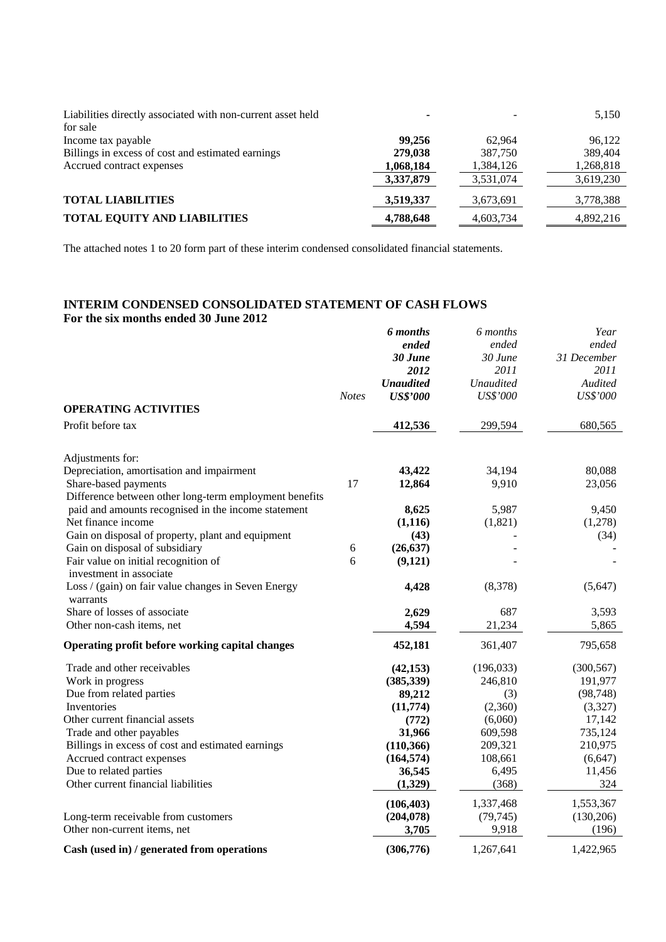| Liabilities directly associated with non-current asset held<br>for sale |           |           | 5,150     |
|-------------------------------------------------------------------------|-----------|-----------|-----------|
| Income tax payable                                                      | 99.256    | 62.964    | 96,122    |
| Billings in excess of cost and estimated earnings                       | 279,038   | 387,750   | 389,404   |
| Accrued contract expenses                                               | 1,068,184 | 1,384,126 | 1,268,818 |
|                                                                         | 3,337,879 | 3,531,074 | 3,619,230 |
| <b>TOTAL LIABILITIES</b>                                                | 3,519,337 | 3,673,691 | 3,778,388 |
| <b>TOTAL EQUITY AND LIABILITIES</b>                                     | 4,788,648 | 4,603,734 | 4,892,216 |

The attached notes 1 to 20 form part of these interim condensed consolidated financial statements.

# **INTERIM CONDENSED CONSOLIDATED STATEMENT OF CASH FLOWS For the six months ended 30 June 2012**

|                                                                 | <b>Notes</b> | 6 months<br>ended<br>30 June<br>2012<br><b>Unaudited</b><br><b>US\$'000</b> | 6 months<br>ended<br>30 June<br>2011<br><b>Unaudited</b><br>US\$'000 | Year<br>ended<br>31 December<br>2011<br>Audited<br><b>US\$'000</b> |
|-----------------------------------------------------------------|--------------|-----------------------------------------------------------------------------|----------------------------------------------------------------------|--------------------------------------------------------------------|
| <b>OPERATING ACTIVITIES</b>                                     |              |                                                                             |                                                                      |                                                                    |
| Profit before tax                                               |              | 412,536                                                                     | 299,594                                                              | 680,565                                                            |
| Adjustments for:                                                |              |                                                                             |                                                                      |                                                                    |
| Depreciation, amortisation and impairment                       |              | 43,422                                                                      | 34,194                                                               | 80,088                                                             |
| Share-based payments                                            | 17           | 12,864                                                                      | 9,910                                                                | 23,056                                                             |
| Difference between other long-term employment benefits          |              |                                                                             |                                                                      |                                                                    |
| paid and amounts recognised in the income statement             |              | 8,625                                                                       | 5,987                                                                | 9,450                                                              |
| Net finance income                                              |              | (1, 116)                                                                    | (1,821)                                                              | (1,278)                                                            |
| Gain on disposal of property, plant and equipment               |              | (43)                                                                        |                                                                      | (34)                                                               |
| Gain on disposal of subsidiary                                  | 6            | (26, 637)                                                                   |                                                                      |                                                                    |
| Fair value on initial recognition of<br>investment in associate | 6            | (9,121)                                                                     |                                                                      |                                                                    |
| Loss / (gain) on fair value changes in Seven Energy<br>warrants |              | 4,428                                                                       | (8,378)                                                              | (5,647)                                                            |
| Share of losses of associate                                    |              | 2,629                                                                       | 687                                                                  | 3,593                                                              |
| Other non-cash items, net                                       |              | 4,594                                                                       | 21,234                                                               | 5,865                                                              |
| Operating profit before working capital changes                 |              | 452,181                                                                     | 361,407                                                              | 795,658                                                            |
| Trade and other receivables                                     |              | (42, 153)                                                                   | (196, 033)                                                           | (300, 567)                                                         |
| Work in progress                                                |              | (385, 339)                                                                  | 246,810                                                              | 191,977                                                            |
| Due from related parties                                        |              | 89,212                                                                      | (3)                                                                  | (98, 748)                                                          |
| Inventories                                                     |              | (11,774)                                                                    | (2,360)                                                              | (3,327)                                                            |
| Other current financial assets                                  |              | (772)                                                                       | (6,060)                                                              | 17,142                                                             |
| Trade and other payables                                        |              | 31,966                                                                      | 609,598                                                              | 735,124                                                            |
| Billings in excess of cost and estimated earnings               |              | (110, 366)                                                                  | 209,321                                                              | 210,975                                                            |
| Accrued contract expenses                                       |              | (164, 574)                                                                  | 108,661                                                              | (6, 647)                                                           |
| Due to related parties                                          |              | 36,545                                                                      | 6,495                                                                | 11,456                                                             |
| Other current financial liabilities                             |              | (1,329)                                                                     | (368)                                                                | 324                                                                |
|                                                                 |              | (106, 403)                                                                  | 1,337,468                                                            | 1,553,367                                                          |
| Long-term receivable from customers                             |              | (204, 078)                                                                  | (79, 745)                                                            | (130,206)                                                          |
| Other non-current items, net                                    |              | 3,705                                                                       | 9,918                                                                | (196)                                                              |
| Cash (used in) / generated from operations                      |              | (306,776)                                                                   | 1,267,641                                                            | 1,422,965                                                          |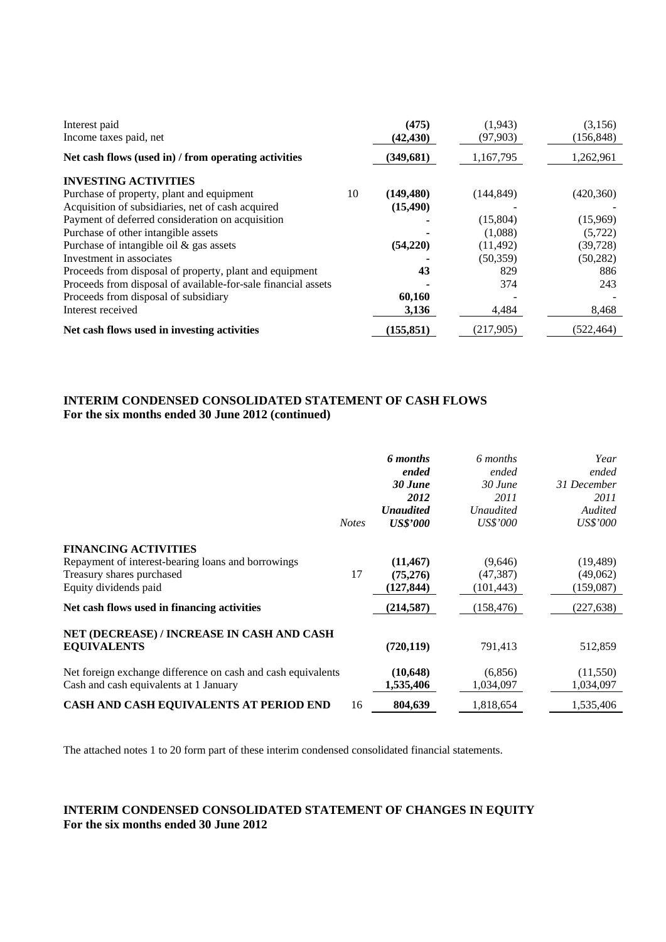| Interest paid<br>Income taxes paid, net                       |    | (475)<br>(42, 430) | (1, 943)<br>(97,903) | (3,156)<br>(156, 848) |
|---------------------------------------------------------------|----|--------------------|----------------------|-----------------------|
| Net cash flows (used in) / from operating activities          |    | (349, 681)         | 1,167,795            | 1,262,961             |
| <b>INVESTING ACTIVITIES</b>                                   |    |                    |                      |                       |
| Purchase of property, plant and equipment                     | 10 | (149, 480)         | (144, 849)           | (420,360)             |
| Acquisition of subsidiaries, net of cash acquired             |    | (15, 490)          |                      |                       |
| Payment of deferred consideration on acquisition              |    |                    | (15,804)             | (15,969)              |
| Purchase of other intangible assets                           |    |                    | (1,088)              | (5, 722)              |
| Purchase of intangible oil $\&$ gas assets                    |    | (54,220)           | (11, 492)            | (39, 728)             |
| Investment in associates                                      |    |                    | (50, 359)            | (50, 282)             |
| Proceeds from disposal of property, plant and equipment       |    | 43                 | 829                  | 886                   |
| Proceeds from disposal of available-for-sale financial assets |    |                    | 374                  | 243                   |
| Proceeds from disposal of subsidiary                          |    | 60,160             |                      |                       |
| Interest received                                             |    | 3,136              | 4,484                | 8,468                 |
| Net cash flows used in investing activities                   |    | (155.851)          | (217,905)            | (522, 464)            |

## **INTERIM CONDENSED CONSOLIDATED STATEMENT OF CASH FLOWS For the six months ended 30 June 2012 (continued)**

|                                                                                                        | <b>Notes</b> | 6 months<br>ended<br>30 June<br>2012<br><b>Unaudited</b><br><b>US\$'000</b> | 6 months<br>ended<br>$30$ June<br>2011<br><b>Unaudited</b><br><i>US\$'000</i> | Year<br>ended<br>31 December<br>2011<br>Audited<br><i>US\$'000</i> |
|--------------------------------------------------------------------------------------------------------|--------------|-----------------------------------------------------------------------------|-------------------------------------------------------------------------------|--------------------------------------------------------------------|
| <b>FINANCING ACTIVITIES</b><br>Repayment of interest-bearing loans and borrowings                      |              | (11, 467)                                                                   | (9,646)                                                                       | (19, 489)                                                          |
| Treasury shares purchased                                                                              | 17           | (75,276)                                                                    | (47, 387)                                                                     | (49,062)                                                           |
| Equity dividends paid                                                                                  |              | (127, 844)                                                                  | (101, 443)                                                                    | (159,087)                                                          |
| Net cash flows used in financing activities                                                            |              | (214, 587)                                                                  | (158, 476)                                                                    | (227, 638)                                                         |
| NET (DECREASE) / INCREASE IN CASH AND CASH<br><b>EQUIVALENTS</b>                                       |              | (720, 119)                                                                  | 791,413                                                                       | 512,859                                                            |
| Net foreign exchange difference on cash and cash equivalents<br>Cash and cash equivalents at 1 January |              | (10, 648)<br>1,535,406                                                      | (6,856)<br>1,034,097                                                          | (11,550)<br>1,034,097                                              |
| CASH AND CASH EQUIVALENTS AT PERIOD END                                                                | 16           | 804,639                                                                     | 1,818,654                                                                     | 1,535,406                                                          |

The attached notes 1 to 20 form part of these interim condensed consolidated financial statements.

## **INTERIM CONDENSED CONSOLIDATED STATEMENT OF CHANGES IN EQUITY For the six months ended 30 June 2012**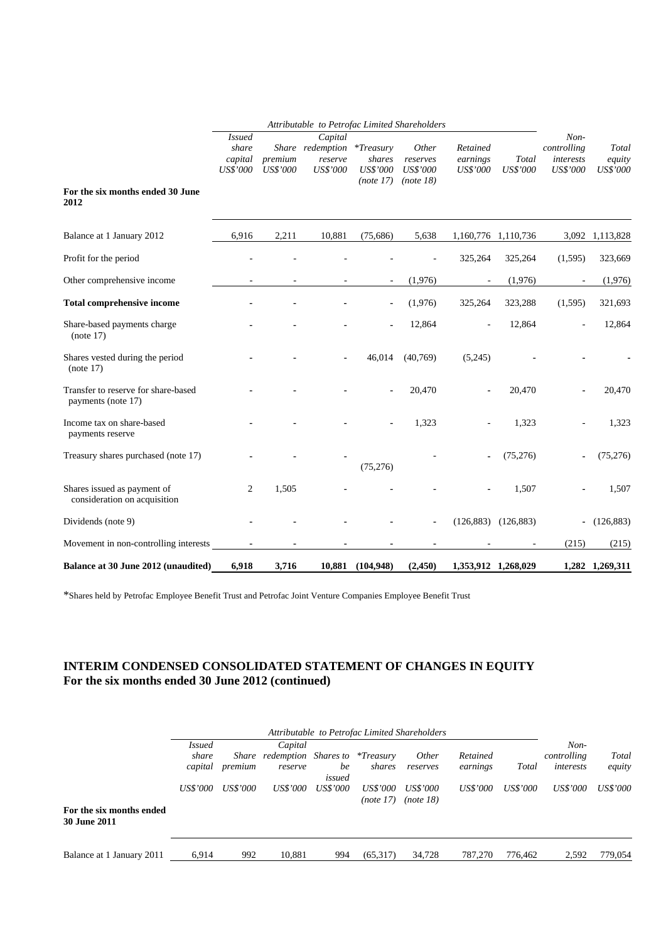|                                                             | Attributable to Petrofac Limited Shareholders        |                            |                                                    |                                                        |                                                   |                                         |                          |                                              |                             |
|-------------------------------------------------------------|------------------------------------------------------|----------------------------|----------------------------------------------------|--------------------------------------------------------|---------------------------------------------------|-----------------------------------------|--------------------------|----------------------------------------------|-----------------------------|
| For the six months ended 30 June                            | <i>Issued</i><br>share<br>capital<br><b>US\$'000</b> | premium<br><b>US\$'000</b> | Capital<br>Share redemption<br>reserve<br>US\$'000 | $*T$ reasury<br>shares<br><b>US\$'000</b><br>(note 17) | Other<br>reserves<br><b>US\$'000</b><br>(note 18) | Retained<br>earnings<br><b>US\$'000</b> | Total<br><b>US\$'000</b> | Non-<br>controlling<br>interests<br>US\$'000 | Total<br>equity<br>US\$'000 |
| 2012                                                        |                                                      |                            |                                                    |                                                        |                                                   |                                         |                          |                                              |                             |
| Balance at 1 January 2012                                   | 6,916                                                | 2,211                      | 10,881                                             | (75,686)                                               | 5,638                                             |                                         | 1,160,776 1,110,736      |                                              | 3,092 1,113,828             |
| Profit for the period                                       |                                                      |                            |                                                    |                                                        |                                                   | 325,264                                 | 325,264                  | (1,595)                                      | 323,669                     |
| Other comprehensive income                                  |                                                      |                            |                                                    | $\overline{\phantom{a}}$                               | (1,976)                                           |                                         | (1,976)                  | $\overline{\phantom{a}}$                     | (1,976)                     |
| <b>Total comprehensive income</b>                           |                                                      |                            |                                                    |                                                        | (1,976)                                           | 325,264                                 | 323,288                  | (1,595)                                      | 321,693                     |
| Share-based payments charge<br>(note 17)                    |                                                      |                            |                                                    |                                                        | 12,864                                            |                                         | 12,864                   |                                              | 12,864                      |
| Shares vested during the period<br>(note 17)                |                                                      |                            |                                                    | 46,014                                                 | (40,769)                                          | (5,245)                                 |                          |                                              |                             |
| Transfer to reserve for share-based<br>payments (note 17)   |                                                      |                            |                                                    |                                                        | 20,470                                            |                                         | 20,470                   |                                              | 20,470                      |
| Income tax on share-based<br>payments reserve               |                                                      |                            |                                                    |                                                        | 1,323                                             |                                         | 1,323                    |                                              | 1,323                       |
| Treasury shares purchased (note 17)                         |                                                      |                            |                                                    | (75,276)                                               |                                                   |                                         | (75, 276)                |                                              | (75,276)                    |
| Shares issued as payment of<br>consideration on acquisition | 2                                                    | 1,505                      |                                                    |                                                        |                                                   |                                         | 1,507                    |                                              | 1,507                       |
| Dividends (note 9)                                          |                                                      |                            |                                                    |                                                        |                                                   | (126, 883)                              | (126, 883)               | $\blacksquare$                               | (126, 883)                  |
| Movement in non-controlling interests                       |                                                      |                            |                                                    |                                                        |                                                   |                                         |                          | (215)                                        | (215)                       |
| Balance at 30 June 2012 (unaudited)                         | 6,918                                                | 3,716                      |                                                    | 10,881 (104,948)                                       | (2, 450)                                          |                                         | 1,353,912 1,268,029      |                                              | 1,282 1,269,311             |

\*Shares held by Petrofac Employee Benefit Trust and Petrofac Joint Venture Companies Employee Benefit Trust

# **INTERIM CONDENSED CONSOLIDATED STATEMENT OF CHANGES IN EQUITY For the six months ended 30 June 2012 (continued)**

|                                          |                 | Attributable to Petrofac Limited Shareholders |                                |                 |                              |                       |                 |          |             |          |
|------------------------------------------|-----------------|-----------------------------------------------|--------------------------------|-----------------|------------------------------|-----------------------|-----------------|----------|-------------|----------|
|                                          | <i>Issued</i>   |                                               | Capital                        |                 |                              |                       |                 |          | $Non-$      |          |
|                                          | share           | Share                                         | redemption Shares to *Treasury |                 |                              | <i>Other</i>          | Retained        |          | controlling | Total    |
|                                          | capital         | premium                                       | reserve                        | be<br>issued    | shares                       | reserves              | earnings        | Total    | interests   | equity   |
|                                          | <i>US\$'000</i> | US\$'000                                      | <i>US\$'000</i>                | <i>US\$'000</i> | <i>US\$'000</i><br>(note 17) | US\$'000<br>(note 18) | <i>US\$'000</i> | US\$'000 | US\$'000    | US\$'000 |
| For the six months ended<br>30 June 2011 |                 |                                               |                                |                 |                              |                       |                 |          |             |          |
| Balance at 1 January 2011                | 6,914           | 992                                           | 10,881                         | 994             | (65,317)                     | 34,728                | 787,270         | 776.462  | 2,592       | 779,054  |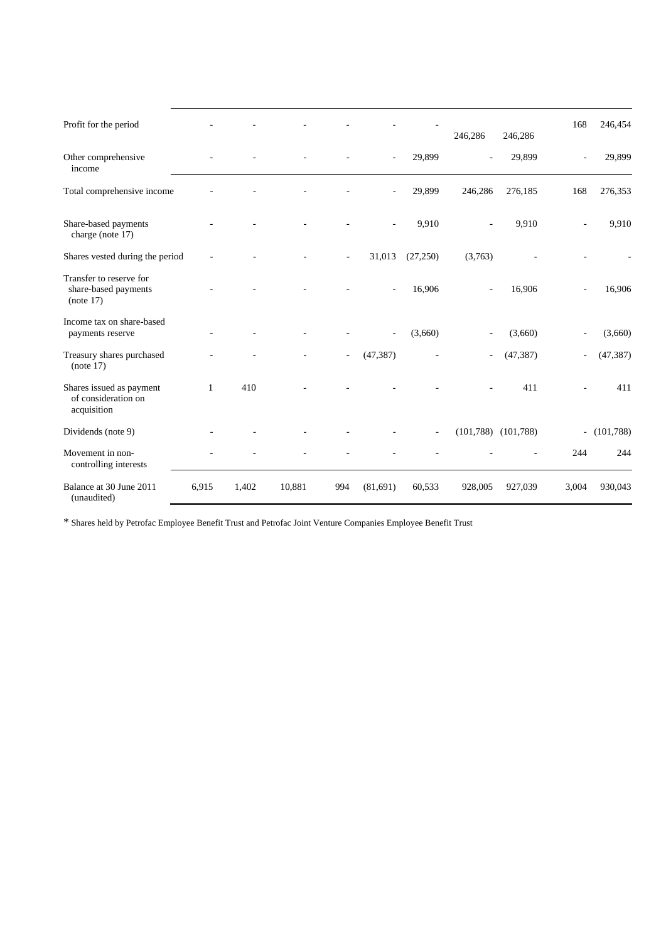| Profit for the period                                          |              |       |        |        |                |                          | 246,286        | 246,286   | 168                      | 246,454        |
|----------------------------------------------------------------|--------------|-------|--------|--------|----------------|--------------------------|----------------|-----------|--------------------------|----------------|
| Other comprehensive<br>income                                  |              |       |        |        | ä,             | 29,899                   |                | 29,899    | ÷,                       | 29,899         |
| Total comprehensive income                                     |              |       |        |        |                | 29,899                   | 246,286        | 276,185   | 168                      | 276,353        |
| Share-based payments<br>charge (note 17)                       |              |       |        |        |                | 9,910                    |                | 9,910     |                          | 9,910          |
| Shares vested during the period                                |              |       |        |        | 31,013         | (27, 250)                | (3,763)        |           |                          |                |
| Transfer to reserve for<br>share-based payments<br>(note 17)   |              |       |        |        | $\overline{a}$ | 16,906                   | $\overline{a}$ | 16,906    | ÷,                       | 16,906         |
| Income tax on share-based<br>payments reserve                  |              |       |        |        | ÷,             | (3,660)                  |                | (3,660)   | ÷,                       | (3,660)        |
| Treasury shares purchased<br>(note 17)                         |              |       |        | $\sim$ | (47, 387)      |                          |                | (47, 387) | $\overline{\phantom{a}}$ | (47, 387)      |
| Shares issued as payment<br>of consideration on<br>acquisition | $\mathbf{1}$ | 410   |        |        |                |                          |                | 411       |                          | 411            |
| Dividends (note 9)                                             |              |       |        |        |                | $\overline{\phantom{a}}$ | (101, 788)     | (101,788) |                          | $- (101, 788)$ |
| Movement in non-<br>controlling interests                      |              |       |        |        |                |                          |                |           | 244                      | 244            |
| Balance at 30 June 2011<br>(unaudited)                         | 6,915        | 1,402 | 10,881 | 994    | (81,691)       | 60,533                   | 928,005        | 927,039   | 3,004                    | 930,043        |

\* Shares held by Petrofac Employee Benefit Trust and Petrofac Joint Venture Companies Employee Benefit Trust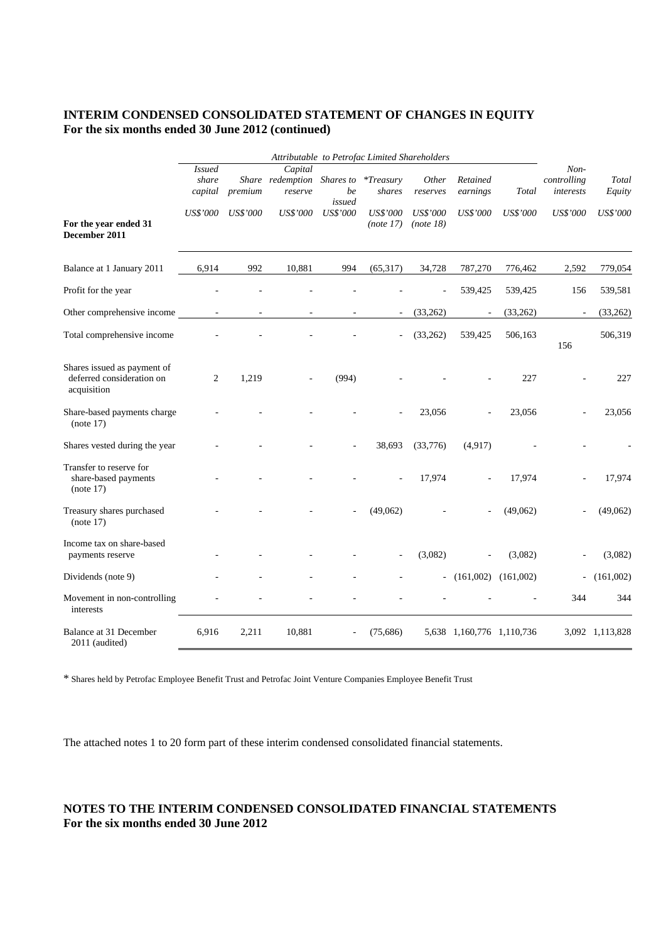## **INTERIM CONDENSED CONSOLIDATED STATEMENT OF CHANGES IN EQUITY For the six months ended 30 June 2012 (continued)**

|                                                                         | Attributable to Petrofac Limited Shareholders |          |                                        |                           |                              |                       |                           |                 |                                    |                 |
|-------------------------------------------------------------------------|-----------------------------------------------|----------|----------------------------------------|---------------------------|------------------------------|-----------------------|---------------------------|-----------------|------------------------------------|-----------------|
|                                                                         | <i>Issued</i><br>share<br>capital             | premium  | Capital<br>Share redemption<br>reserve | Shares to<br>be<br>issued | $*T$ reasury<br>shares       | Other<br>reserves     | Retained<br>earnings      | Total           | $Non-$<br>controlling<br>interests | Total<br>Equity |
| For the year ended 31<br>December 2011                                  | <b>US\$'000</b>                               | US\$'000 | <b>US\$'000</b>                        | <b>US\$'000</b>           | <b>US\$'000</b><br>(note 17) | US\$'000<br>(note 18) | <b>US\$'000</b>           | <b>US\$'000</b> | <b>US\$'000</b>                    | US\$'000        |
| Balance at 1 January 2011                                               | 6,914                                         | 992      | 10,881                                 | 994                       | (65, 317)                    | 34,728                | 787,270                   | 776,462         | 2,592                              | 779,054         |
| Profit for the year                                                     |                                               |          |                                        |                           |                              |                       | 539,425                   | 539,425         | 156                                | 539,581         |
| Other comprehensive income                                              |                                               |          |                                        |                           | $\overline{\phantom{a}}$     | (33, 262)             |                           | (33,262)        | $\qquad \qquad \blacksquare$       | (33, 262)       |
| Total comprehensive income                                              |                                               |          |                                        |                           |                              | (33,262)              | 539,425                   | 506,163         | 156                                | 506,319         |
| Shares issued as payment of<br>deferred consideration on<br>acquisition | $\overline{c}$                                | 1,219    |                                        | (994)                     |                              |                       |                           | 227             |                                    | 227             |
| Share-based payments charge<br>(note 17)                                |                                               |          |                                        |                           |                              | 23,056                |                           | 23,056          |                                    | 23,056          |
| Shares vested during the year                                           |                                               |          |                                        |                           | 38,693                       | (33,776)              | (4, 917)                  |                 |                                    |                 |
| Transfer to reserve for<br>share-based payments<br>(note 17)            |                                               |          |                                        |                           |                              | 17,974                |                           | 17,974          |                                    | 17,974          |
| Treasury shares purchased<br>(note 17)                                  |                                               |          |                                        |                           | (49,062)                     |                       |                           | (49,062)        |                                    | (49,062)        |
| Income tax on share-based<br>payments reserve                           |                                               |          |                                        |                           |                              | (3,082)               |                           | (3,082)         |                                    | (3,082)         |
| Dividends (note 9)                                                      |                                               |          |                                        |                           |                              |                       | $- (161,002) (161,002)$   |                 | $\overline{\phantom{0}}$           | (161,002)       |
| Movement in non-controlling<br>interests                                |                                               |          |                                        |                           |                              |                       |                           |                 | 344                                | 344             |
| Balance at 31 December<br>2011 (audited)                                | 6,916                                         | 2,211    | 10,881                                 |                           | (75,686)                     |                       | 5,638 1,160,776 1,110,736 |                 |                                    | 3,092 1,113,828 |

\* Shares held by Petrofac Employee Benefit Trust and Petrofac Joint Venture Companies Employee Benefit Trust

The attached notes 1 to 20 form part of these interim condensed consolidated financial statements.

## **NOTES TO THE INTERIM CONDENSED CONSOLIDATED FINANCIAL STATEMENTS For the six months ended 30 June 2012**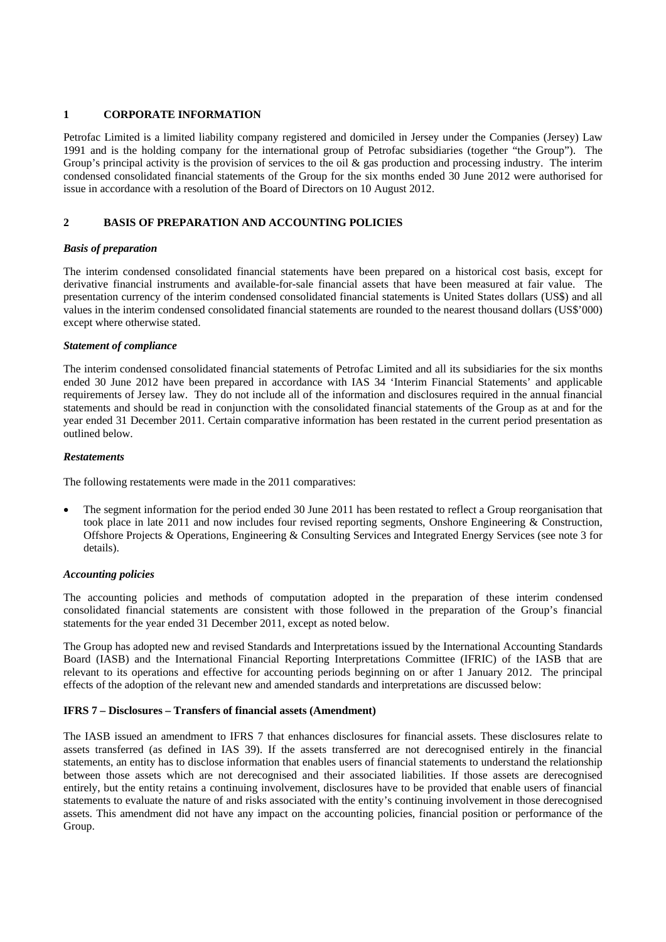## **1 CORPORATE INFORMATION**

Petrofac Limited is a limited liability company registered and domiciled in Jersey under the Companies (Jersey) Law 1991 and is the holding company for the international group of Petrofac subsidiaries (together "the Group"). The Group's principal activity is the provision of services to the oil  $\&$  gas production and processing industry. The interim condensed consolidated financial statements of the Group for the six months ended 30 June 2012 were authorised for issue in accordance with a resolution of the Board of Directors on 10 August 2012.

## **2 BASIS OF PREPARATION AND ACCOUNTING POLICIES**

## *Basis of preparation*

The interim condensed consolidated financial statements have been prepared on a historical cost basis, except for derivative financial instruments and available-for-sale financial assets that have been measured at fair value. The presentation currency of the interim condensed consolidated financial statements is United States dollars (US\$) and all values in the interim condensed consolidated financial statements are rounded to the nearest thousand dollars (US\$'000) except where otherwise stated.

## *Statement of compliance*

The interim condensed consolidated financial statements of Petrofac Limited and all its subsidiaries for the six months ended 30 June 2012 have been prepared in accordance with IAS 34 'Interim Financial Statements' and applicable requirements of Jersey law. They do not include all of the information and disclosures required in the annual financial statements and should be read in conjunction with the consolidated financial statements of the Group as at and for the year ended 31 December 2011. Certain comparative information has been restated in the current period presentation as outlined below.

## *Restatements*

The following restatements were made in the 2011 comparatives:

 The segment information for the period ended 30 June 2011 has been restated to reflect a Group reorganisation that took place in late 2011 and now includes four revised reporting segments, Onshore Engineering & Construction, Offshore Projects & Operations, Engineering & Consulting Services and Integrated Energy Services (see note 3 for details).

#### *Accounting policies*

The accounting policies and methods of computation adopted in the preparation of these interim condensed consolidated financial statements are consistent with those followed in the preparation of the Group's financial statements for the year ended 31 December 2011, except as noted below.

The Group has adopted new and revised Standards and Interpretations issued by the International Accounting Standards Board (IASB) and the International Financial Reporting Interpretations Committee (IFRIC) of the IASB that are relevant to its operations and effective for accounting periods beginning on or after 1 January 2012. The principal effects of the adoption of the relevant new and amended standards and interpretations are discussed below:

## **IFRS 7 – Disclosures – Transfers of financial assets (Amendment)**

The IASB issued an amendment to IFRS 7 that enhances disclosures for financial assets. These disclosures relate to assets transferred (as defined in IAS 39). If the assets transferred are not derecognised entirely in the financial statements, an entity has to disclose information that enables users of financial statements to understand the relationship between those assets which are not derecognised and their associated liabilities. If those assets are derecognised entirely, but the entity retains a continuing involvement, disclosures have to be provided that enable users of financial statements to evaluate the nature of and risks associated with the entity's continuing involvement in those derecognised assets. This amendment did not have any impact on the accounting policies, financial position or performance of the Group.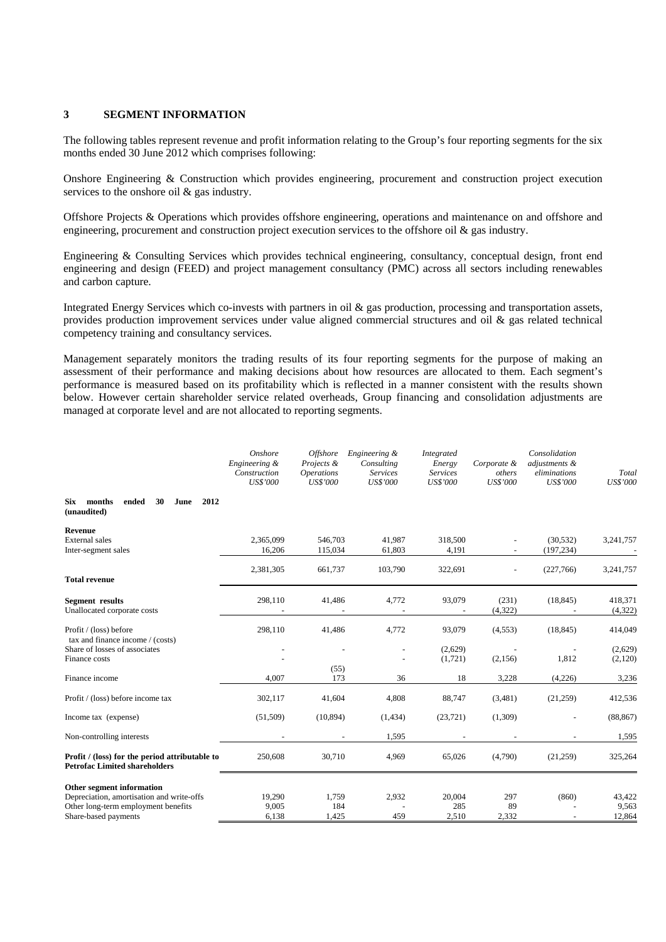## **3 SEGMENT INFORMATION**

The following tables represent revenue and profit information relating to the Group's four reporting segments for the six months ended 30 June 2012 which comprises following:

Onshore Engineering & Construction which provides engineering, procurement and construction project execution services to the onshore oil & gas industry.

Offshore Projects & Operations which provides offshore engineering, operations and maintenance on and offshore and engineering, procurement and construction project execution services to the offshore oil & gas industry.

Engineering & Consulting Services which provides technical engineering, consultancy, conceptual design, front end engineering and design (FEED) and project management consultancy (PMC) across all sectors including renewables and carbon capture.

Integrated Energy Services which co-invests with partners in oil & gas production, processing and transportation assets, provides production improvement services under value aligned commercial structures and oil & gas related technical competency training and consultancy services.

Management separately monitors the trading results of its four reporting segments for the purpose of making an assessment of their performance and making decisions about how resources are allocated to them. Each segment's performance is measured based on its profitability which is reflected in a manner consistent with the results shown below. However certain shareholder service related overheads, Group financing and consolidation adjustments are managed at corporate level and are not allocated to reporting segments.

|                                                                                        | Onshore<br>Engineering &<br>Construction<br><b>US\$'000</b> | <i><b>Offshore</b></i><br>Projects &<br><i><b>Operations</b></i><br><b>US\$'000</b> | Engineering &<br>Consulting<br><b>Services</b><br><b>US\$'000</b> | <b>Integrated</b><br>Energy<br><b>Services</b><br><b>US\$'000</b> | Corporate &<br>others<br>US\$'000 | Consolidation<br>adjustments &<br>eliminations<br>US\$'000 | Total<br>US\$'000  |
|----------------------------------------------------------------------------------------|-------------------------------------------------------------|-------------------------------------------------------------------------------------|-------------------------------------------------------------------|-------------------------------------------------------------------|-----------------------------------|------------------------------------------------------------|--------------------|
| ended<br>2012<br><b>Six</b><br>months<br>30<br>June<br>(unaudited)                     |                                                             |                                                                                     |                                                                   |                                                                   |                                   |                                                            |                    |
| Revenue<br><b>External</b> sales<br>Inter-segment sales                                | 2.365.099<br>16,206                                         | 546,703<br>115,034                                                                  | 41,987<br>61,803                                                  | 318,500<br>4,191                                                  |                                   | (30, 532)<br>(197, 234)                                    | 3,241,757          |
| <b>Total revenue</b>                                                                   | 2,381,305                                                   | 661,737                                                                             | 103,790                                                           | 322,691                                                           |                                   | (227,766)                                                  | 3,241,757          |
| Segment results<br>Unallocated corporate costs                                         | 298,110                                                     | 41,486                                                                              | 4,772                                                             | 93,079                                                            | (231)<br>(4,322)                  | (18, 845)                                                  | 418,371<br>(4,322) |
| Profit / (loss) before                                                                 | 298,110                                                     | 41,486                                                                              | 4,772                                                             | 93,079                                                            | (4,553)                           | (18, 845)                                                  | 414,049            |
| tax and finance income / (costs)<br>Share of losses of associates<br>Finance costs     |                                                             |                                                                                     | $\overline{\phantom{a}}$                                          | (2,629)<br>(1,721)                                                | (2,156)                           | 1,812                                                      | (2,629)<br>(2,120) |
| Finance income                                                                         | 4,007                                                       | (55)<br>173                                                                         | 36                                                                | 18                                                                | 3,228                             | (4,226)                                                    | 3,236              |
| Profit / (loss) before income tax                                                      | 302,117                                                     | 41,604                                                                              | 4,808                                                             | 88,747                                                            | (3,481)                           | (21,259)                                                   | 412,536            |
| Income tax (expense)                                                                   | (51,509)                                                    | (10, 894)                                                                           | (1,434)                                                           | (23, 721)                                                         | (1,309)                           |                                                            | (88, 867)          |
| Non-controlling interests                                                              |                                                             |                                                                                     | 1,595                                                             |                                                                   |                                   |                                                            | 1,595              |
| Profit / (loss) for the period attributable to<br><b>Petrofac Limited shareholders</b> | 250,608                                                     | 30,710                                                                              | 4,969                                                             | 65,026                                                            | (4,790)                           | (21,259)                                                   | 325,264            |
| Other segment information                                                              |                                                             |                                                                                     |                                                                   |                                                                   |                                   |                                                            |                    |
| Depreciation, amortisation and write-offs<br>Other long-term employment benefits       | 19,290<br>9,005                                             | 1,759<br>184                                                                        | 2,932                                                             | 20,004<br>285                                                     | 297<br>89                         | (860)                                                      | 43,422<br>9,563    |
| Share-based payments                                                                   | 6,138                                                       | 1,425                                                                               | 459                                                               | 2,510                                                             | 2,332                             |                                                            | 12,864             |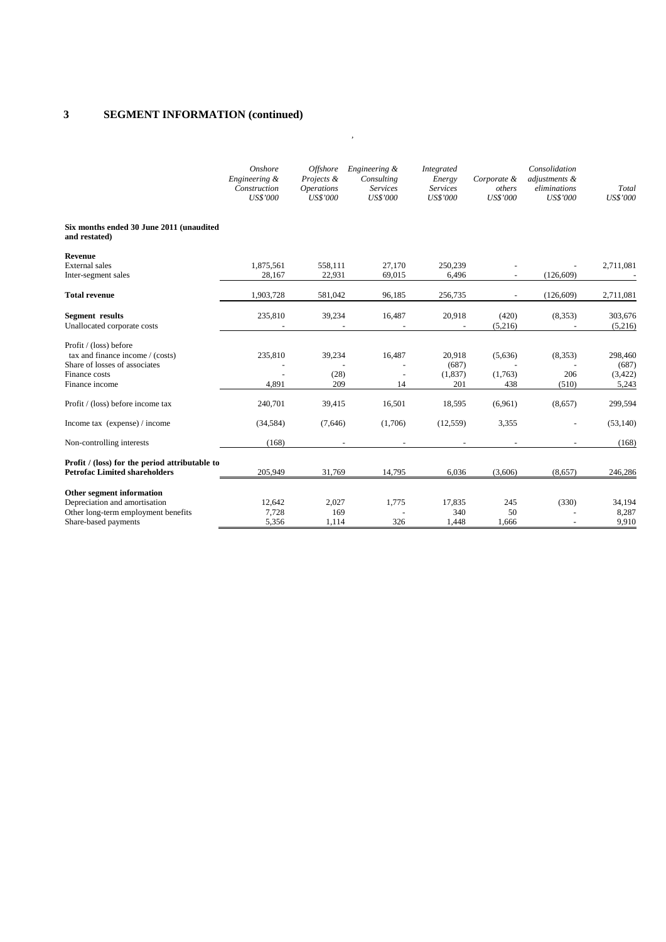## **3 SEGMENT INFORMATION (continued)**

|                                                                                                                                | Onshore<br>Engineering &<br>Construction<br><b>US\$'000</b> | <b>Offshore</b><br>Projects &<br><i><b>Operations</b></i><br><b>US\$'000</b> | Engineering &<br>Consulting<br><b>Services</b><br><b>US\$'000</b> | Integrated<br>Energy<br><b>Services</b><br><b>US\$'000</b> | Corporate &<br>others<br><b>US\$'000</b> | Consolidation<br>adjustments &<br>eliminations<br><b>US\$'000</b> | Total<br><b>US\$'000</b>              |
|--------------------------------------------------------------------------------------------------------------------------------|-------------------------------------------------------------|------------------------------------------------------------------------------|-------------------------------------------------------------------|------------------------------------------------------------|------------------------------------------|-------------------------------------------------------------------|---------------------------------------|
| Six months ended 30 June 2011 (unaudited<br>and restated)                                                                      |                                                             |                                                                              |                                                                   |                                                            |                                          |                                                                   |                                       |
| Revenue                                                                                                                        |                                                             |                                                                              |                                                                   |                                                            |                                          |                                                                   |                                       |
| External sales<br>Inter-segment sales                                                                                          | 1,875,561<br>28,167                                         | 558,111<br>22,931                                                            | 27,170<br>69,015                                                  | 250,239<br>6,496                                           |                                          | (126, 609)                                                        | 2,711,081                             |
| <b>Total revenue</b>                                                                                                           | 1,903,728                                                   | 581,042                                                                      | 96,185                                                            | 256,735                                                    |                                          | (126, 609)                                                        | 2,711,081                             |
| <b>Segment</b> results<br>Unallocated corporate costs                                                                          | 235,810                                                     | 39,234                                                                       | 16,487                                                            | 20,918                                                     | (420)<br>(5,216)                         | (8,353)                                                           | 303,676<br>(5,216)                    |
| Profit / (loss) before<br>tax and finance income / (costs)<br>Share of losses of associates<br>Finance costs<br>Finance income | 235,810<br>4,891                                            | 39,234<br>(28)<br>209                                                        | 16,487<br>$\overline{\phantom{a}}$<br>14                          | 20,918<br>(687)<br>(1,837)<br>201                          | (5,636)<br>(1,763)<br>438                | (8,353)<br>206<br>(510)                                           | 298,460<br>(687)<br>(3, 422)<br>5,243 |
| Profit / (loss) before income tax                                                                                              | 240,701                                                     | 39,415                                                                       | 16,501                                                            | 18,595                                                     | (6,961)                                  | (8,657)                                                           | 299,594                               |
| Income tax (expense) / income                                                                                                  | (34, 584)                                                   | (7,646)                                                                      | (1,706)                                                           | (12, 559)                                                  | 3,355                                    |                                                                   | (53, 140)                             |
| Non-controlling interests                                                                                                      | (168)                                                       | $\overline{\phantom{a}}$                                                     | $\overline{\phantom{a}}$                                          | $\overline{\phantom{a}}$                                   |                                          |                                                                   | (168)                                 |
| Profit / (loss) for the period attributable to<br><b>Petrofac Limited shareholders</b>                                         | 205,949                                                     | 31,769                                                                       | 14,795                                                            | 6,036                                                      | (3,606)                                  | (8,657)                                                           | 246,286                               |
| Other segment information<br>Depreciation and amortisation<br>Other long-term employment benefits<br>Share-based payments      | 12,642<br>7,728<br>5,356                                    | 2,027<br>169<br>1,114                                                        | 1,775<br>326                                                      | 17,835<br>340<br>1,448                                     | 245<br>50<br>1,666                       | (330)                                                             | 34,194<br>8,287<br>9,910              |

*,*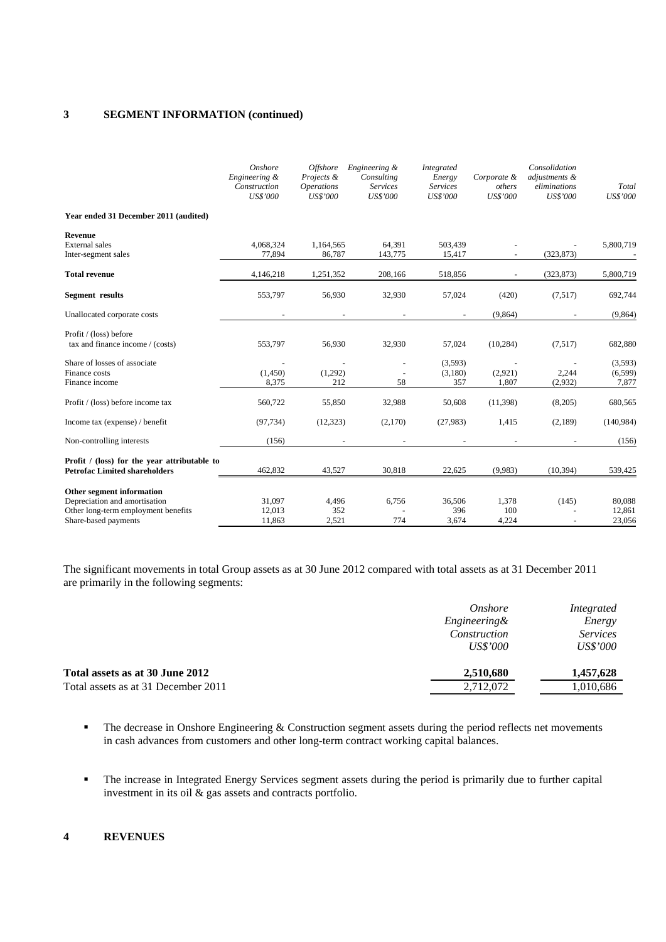## **3 SEGMENT INFORMATION (continued)**

|                                                                                                                           | Onshore<br>Engineering &<br>Construction<br><b>US\$'000</b> | <b>Offshore</b><br>Projects &<br><i><b>Operations</b></i><br>US\$'000 | Engineering &<br>Consulting<br><b>Services</b><br><b>US\$'000</b> | Integrated<br>Energy<br><b>Services</b><br><b>US\$'000</b> | Corporate &<br>others<br><b>US\$'000</b> | Consolidation<br>adjustments &<br>eliminations<br><b>US\$'000</b> | Total<br><b>US\$'000</b>     |
|---------------------------------------------------------------------------------------------------------------------------|-------------------------------------------------------------|-----------------------------------------------------------------------|-------------------------------------------------------------------|------------------------------------------------------------|------------------------------------------|-------------------------------------------------------------------|------------------------------|
| Year ended 31 December 2011 (audited)                                                                                     |                                                             |                                                                       |                                                                   |                                                            |                                          |                                                                   |                              |
| Revenue<br><b>External</b> sales<br>Inter-segment sales                                                                   | 4,068,324<br>77,894                                         | 1,164,565<br>86,787                                                   | 64,391<br>143,775                                                 | 503,439<br>15,417                                          |                                          | (323, 873)                                                        | 5,800,719                    |
| <b>Total revenue</b>                                                                                                      | 4,146,218                                                   | 1,251,352                                                             | 208,166                                                           | 518,856                                                    |                                          | (323, 873)                                                        | 5,800,719                    |
| Segment results                                                                                                           | 553,797                                                     | 56,930                                                                | 32,930                                                            | 57,024                                                     | (420)                                    | (7,517)                                                           | 692,744                      |
| Unallocated corporate costs                                                                                               |                                                             |                                                                       |                                                                   | $\overline{\phantom{a}}$                                   | (9,864)                                  |                                                                   | (9,864)                      |
| Profit / (loss) before<br>tax and finance income / (costs)                                                                | 553,797                                                     | 56,930                                                                | 32,930                                                            | 57,024                                                     | (10, 284)                                | (7,517)                                                           | 682,880                      |
| Share of losses of associate<br>Finance costs<br>Finance income                                                           | (1,450)<br>8,375                                            | (1,292)<br>212                                                        | 58                                                                | (3,593)<br>(3,180)<br>357                                  | (2,921)<br>1,807                         | 2,244<br>(2,932)                                                  | (3,593)<br>(6, 599)<br>7,877 |
| Profit / (loss) before income tax                                                                                         | 560,722                                                     | 55,850                                                                | 32,988                                                            | 50,608                                                     | (11, 398)                                | (8,205)                                                           | 680,565                      |
| Income tax (expense) / benefit                                                                                            | (97, 734)                                                   | (12, 323)                                                             | (2,170)                                                           | (27,983)                                                   | 1,415                                    | (2,189)                                                           | (140, 984)                   |
| Non-controlling interests                                                                                                 | (156)                                                       | $\overline{\phantom{a}}$                                              |                                                                   | $\overline{\phantom{a}}$                                   |                                          |                                                                   | (156)                        |
| Profit / (loss) for the year attributable to<br><b>Petrofac Limited shareholders</b>                                      | 462,832                                                     | 43,527                                                                | 30,818                                                            | 22,625                                                     | (9,983)                                  | (10, 394)                                                         | 539,425                      |
| Other segment information<br>Depreciation and amortisation<br>Other long-term employment benefits<br>Share-based payments | 31,097<br>12,013<br>11,863                                  | 4,496<br>352<br>2.521                                                 | 6,756<br>774                                                      | 36,506<br>396<br>3,674                                     | 1,378<br>100<br>4,224                    | (145)                                                             | 80,088<br>12,861<br>23,056   |

The significant movements in total Group assets as at 30 June 2012 compared with total assets as at 31 December 2011 are primarily in the following segments:

|                                     | Onshore                 | Integrated      |
|-------------------------------------|-------------------------|-----------------|
|                                     | <i>Engineering&amp;</i> | Energy          |
|                                     | Construction            | <i>Services</i> |
|                                     | <i>US\$'000</i>         | <i>US\$'000</i> |
| Total assets as at 30 June 2012     | 2,510,680               | 1,457,628       |
| Total assets as at 31 December 2011 | 2,712,072               | 1,010,686       |
|                                     |                         |                 |

- **The decrease in Onshore Engineering & Construction segment assets during the period reflects net movements** in cash advances from customers and other long-term contract working capital balances.
- The increase in Integrated Energy Services segment assets during the period is primarily due to further capital investment in its oil & gas assets and contracts portfolio.

## **4 REVENUES**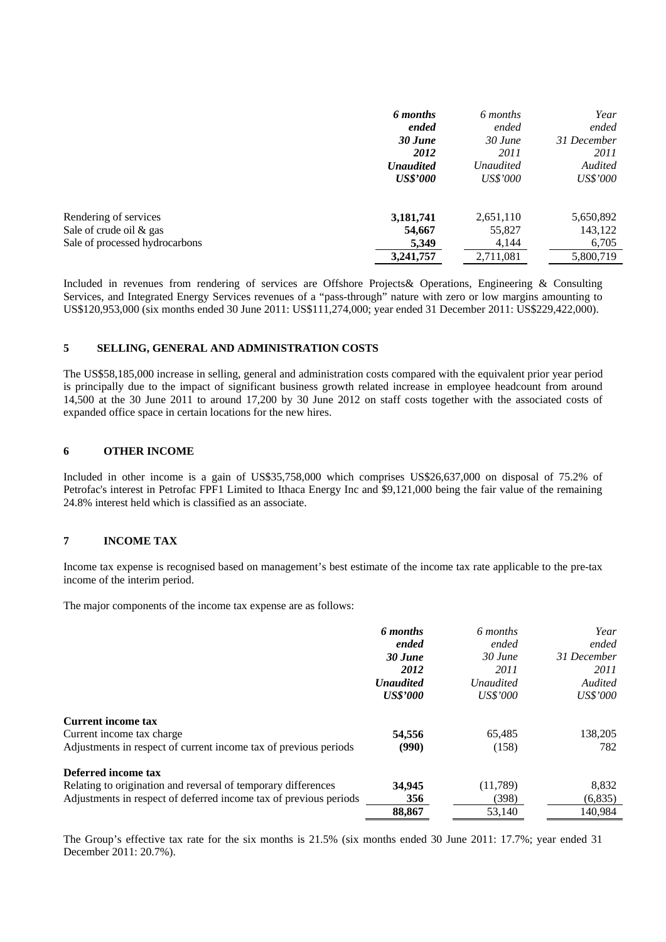|                                | 6 months         | 6 months         | Year            |
|--------------------------------|------------------|------------------|-----------------|
|                                | ended            | ended            | ended           |
|                                | 30 June          | 30 June          | 31 December     |
|                                | 2012             | 2011             | 2011            |
|                                | <b>Unaudited</b> | <i>Unaudited</i> | Audited         |
|                                | <b>US\$'000</b>  | <i>US\$'000</i>  | <i>US\$'000</i> |
| Rendering of services          | 3,181,741        | 2,651,110        | 5,650,892       |
| Sale of crude oil & gas        | 54,667           | 55,827           | 143,122         |
| Sale of processed hydrocarbons | 5,349            | 4,144            | 6,705           |
|                                | 3,241,757        | 2,711,081        | 5,800,719       |

Included in revenues from rendering of services are Offshore Projects& Operations, Engineering & Consulting Services, and Integrated Energy Services revenues of a "pass-through" nature with zero or low margins amounting to US\$120,953,000 (six months ended 30 June 2011: US\$111,274,000; year ended 31 December 2011: US\$229,422,000).

## **5 SELLING, GENERAL AND ADMINISTRATION COSTS**

The US\$58,185,000 increase in selling, general and administration costs compared with the equivalent prior year period is principally due to the impact of significant business growth related increase in employee headcount from around 14,500 at the 30 June 2011 to around 17,200 by 30 June 2012 on staff costs together with the associated costs of expanded office space in certain locations for the new hires.

## **6 OTHER INCOME**

Included in other income is a gain of US\$35,758,000 which comprises US\$26,637,000 on disposal of 75.2% of Petrofac's interest in Petrofac FPF1 Limited to Ithaca Energy Inc and \$9,121,000 being the fair value of the remaining 24.8% interest held which is classified as an associate.

## **7 INCOME TAX**

Income tax expense is recognised based on management's best estimate of the income tax rate applicable to the pre-tax income of the interim period.

The major components of the income tax expense are as follows:

| 6 months         | 6 months         | Year        |
|------------------|------------------|-------------|
| ended            | ended            | ended       |
| 30 June          | $30$ June        | 31 December |
| 2012             | 2011             | 2011        |
| <b>Unaudited</b> | <i>Unaudited</i> | Audited     |
| <b>US\$'000</b>  | <i>US\$'000</i>  | US\$'000    |
|                  |                  |             |
| 54,556           | 65,485           | 138,205     |
| (990)            | (158)            | 782         |
|                  |                  |             |
| 34,945           | (11,789)         | 8,832       |
| 356              | (398)            | (6,835)     |
| 88,867           | 53,140           | 140,984     |
|                  |                  |             |

The Group's effective tax rate for the six months is 21.5% (six months ended 30 June 2011: 17.7%; year ended 31 December 2011: 20.7%).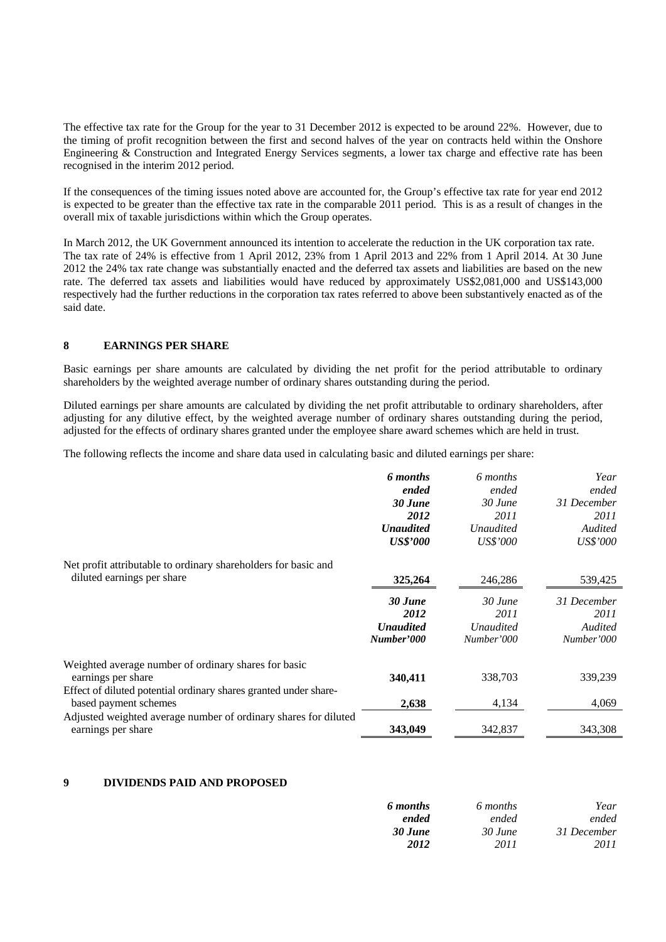The effective tax rate for the Group for the year to 31 December 2012 is expected to be around 22%. However, due to the timing of profit recognition between the first and second halves of the year on contracts held within the Onshore Engineering & Construction and Integrated Energy Services segments, a lower tax charge and effective rate has been recognised in the interim 2012 period.

If the consequences of the timing issues noted above are accounted for, the Group's effective tax rate for year end 2012 is expected to be greater than the effective tax rate in the comparable 2011 period. This is as a result of changes in the overall mix of taxable jurisdictions within which the Group operates.

In March 2012, the UK Government announced its intention to accelerate the reduction in the UK corporation tax rate. The tax rate of 24% is effective from 1 April 2012, 23% from 1 April 2013 and 22% from 1 April 2014. At 30 June 2012 the 24% tax rate change was substantially enacted and the deferred tax assets and liabilities are based on the new rate. The deferred tax assets and liabilities would have reduced by approximately US\$2,081,000 and US\$143,000 respectively had the further reductions in the corporation tax rates referred to above been substantively enacted as of the said date.

## **8 EARNINGS PER SHARE**

Basic earnings per share amounts are calculated by dividing the net profit for the period attributable to ordinary shareholders by the weighted average number of ordinary shares outstanding during the period.

Diluted earnings per share amounts are calculated by dividing the net profit attributable to ordinary shareholders, after adjusting for any dilutive effect, by the weighted average number of ordinary shares outstanding during the period, adjusted for the effects of ordinary shares granted under the employee share award schemes which are held in trust.

The following reflects the income and share data used in calculating basic and diluted earnings per share:

|                                                                  | 6 months         | 6 months         | Year            |
|------------------------------------------------------------------|------------------|------------------|-----------------|
|                                                                  | ended            | ended            | ended           |
|                                                                  | 30 June          | 30 June          | 31 December     |
|                                                                  | 2012             | 2011             | 2011            |
|                                                                  | <b>Unaudited</b> | <i>Unaudited</i> | Audited         |
|                                                                  | <b>US\$'000</b>  | <i>US\$'000</i>  | <i>US\$'000</i> |
| Net profit attributable to ordinary shareholders for basic and   |                  |                  |                 |
| diluted earnings per share                                       | 325,264          | 246,286          | 539,425         |
|                                                                  | 30 June          | $30$ June        | 31 December     |
|                                                                  | 2012             | 2011             | 2011            |
|                                                                  | <b>Unaudited</b> | <b>Unaudited</b> | Audited         |
|                                                                  | Number'000       | Number'000       | Number'000      |
| Weighted average number of ordinary shares for basic             |                  |                  |                 |
| earnings per share                                               | 340,411          | 338,703          | 339,239         |
| Effect of diluted potential ordinary shares granted under share- |                  |                  |                 |
| based payment schemes                                            | 2,638            | 4,134            | 4,069           |
| Adjusted weighted average number of ordinary shares for diluted  |                  |                  |                 |
| earnings per share                                               | 343,049          | 342,837          | 343,308         |

## **9 DIVIDENDS PAID AND PROPOSED**

| 6 months | 6 months | Year        |
|----------|----------|-------------|
| ended    | ended    | ended       |
| 30 June  | 30 June  | 31 December |
| 2012     | 2011     | 2011        |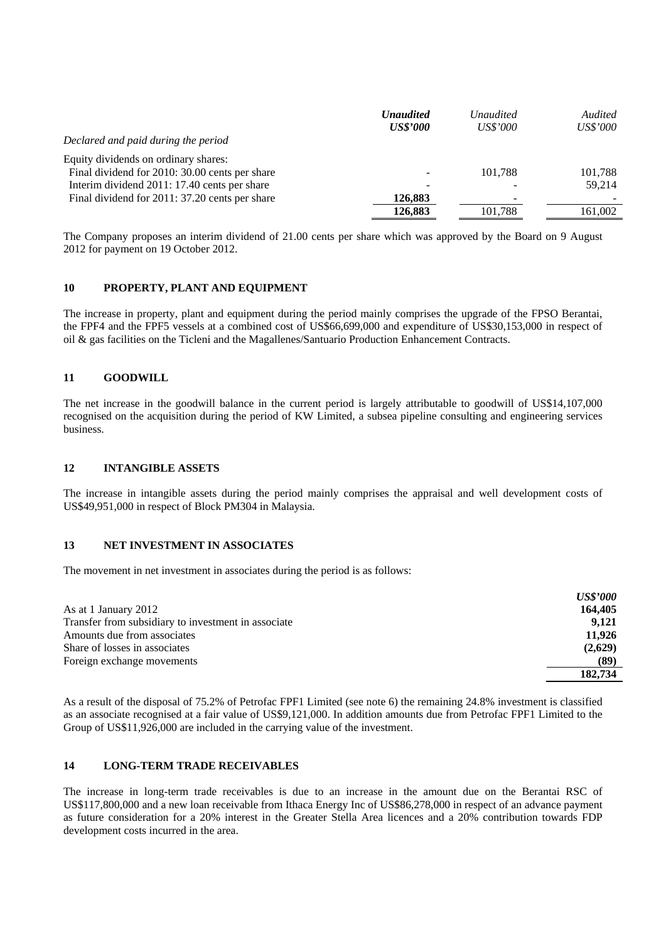|                                                | <b>Unaudited</b> | Unaudited | Audited         |
|------------------------------------------------|------------------|-----------|-----------------|
|                                                | <b>US\$'000</b>  | US\$'000  | <i>US\$'000</i> |
| Declared and paid during the period            |                  |           |                 |
| Equity dividends on ordinary shares:           |                  |           |                 |
| Final dividend for 2010: 30.00 cents per share |                  | 101.788   | 101,788         |
| Interim dividend 2011: 17.40 cents per share   |                  |           | 59,214          |
| Final dividend for 2011: 37.20 cents per share | 126,883          | -         |                 |
|                                                | 126,883          | 101.788   | 161.002         |

The Company proposes an interim dividend of 21.00 cents per share which was approved by the Board on 9 August 2012 for payment on 19 October 2012.

## **10 PROPERTY, PLANT AND EQUIPMENT**

The increase in property, plant and equipment during the period mainly comprises the upgrade of the FPSO Berantai, the FPF4 and the FPF5 vessels at a combined cost of US\$66,699,000 and expenditure of US\$30,153,000 in respect of oil & gas facilities on the Ticleni and the Magallenes/Santuario Production Enhancement Contracts.

## **11 GOODWILL**

The net increase in the goodwill balance in the current period is largely attributable to goodwill of US\$14,107,000 recognised on the acquisition during the period of KW Limited, a subsea pipeline consulting and engineering services business.

## **12 INTANGIBLE ASSETS**

The increase in intangible assets during the period mainly comprises the appraisal and well development costs of US\$49,951,000 in respect of Block PM304 in Malaysia.

## **13 NET INVESTMENT IN ASSOCIATES**

The movement in net investment in associates during the period is as follows:

|                                                     | <b>US\$'000</b> |
|-----------------------------------------------------|-----------------|
| As at 1 January 2012                                | 164,405         |
| Transfer from subsidiary to investment in associate | 9.121           |
| Amounts due from associates                         | 11.926          |
| Share of losses in associates                       | (2,629)         |
| Foreign exchange movements                          | (89)            |
|                                                     | 182,734         |

As a result of the disposal of 75.2% of Petrofac FPF1 Limited (see note 6) the remaining 24.8% investment is classified as an associate recognised at a fair value of US\$9,121,000. In addition amounts due from Petrofac FPF1 Limited to the Group of US\$11,926,000 are included in the carrying value of the investment.

## **14 LONG-TERM TRADE RECEIVABLES**

The increase in long-term trade receivables is due to an increase in the amount due on the Berantai RSC of US\$117,800,000 and a new loan receivable from Ithaca Energy Inc of US\$86,278,000 in respect of an advance payment as future consideration for a 20% interest in the Greater Stella Area licences and a 20% contribution towards FDP development costs incurred in the area.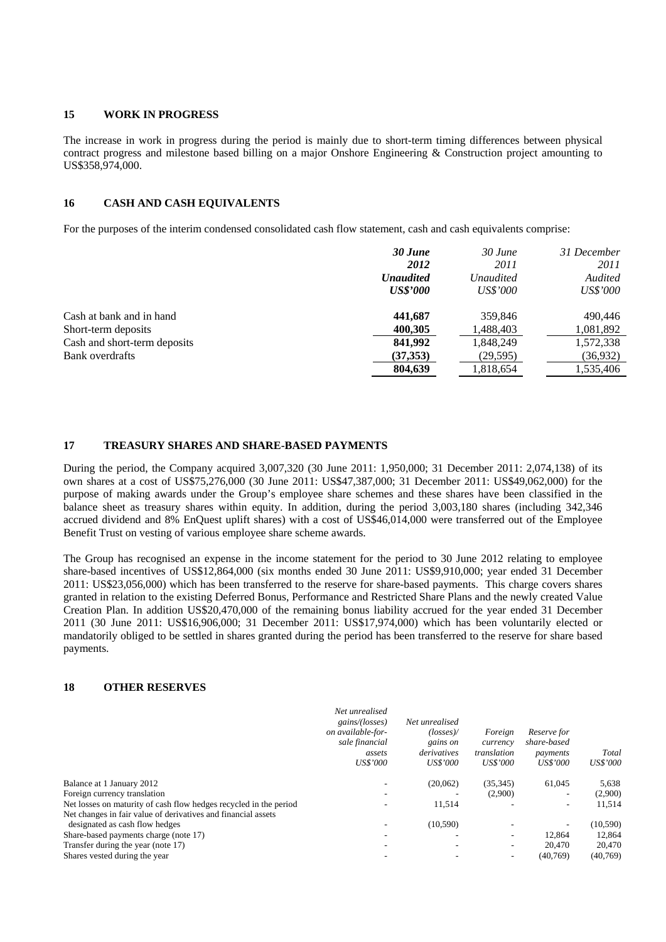## **15 WORK IN PROGRESS**

The increase in work in progress during the period is mainly due to short-term timing differences between physical contract progress and milestone based billing on a major Onshore Engineering & Construction project amounting to US\$358,974,000.

## **16 CASH AND CASH EQUIVALENTS**

For the purposes of the interim condensed consolidated cash flow statement, cash and cash equivalents comprise:

|                              | 30 June          | 30 June          | 31 December     |
|------------------------------|------------------|------------------|-----------------|
|                              | 2012             | 2011             | 2011            |
|                              | <b>Unaudited</b> | <i>Unaudited</i> | Audited         |
|                              | <b>US\$'000</b>  | <i>US\$'000</i>  | <i>US\$'000</i> |
| Cash at bank and in hand     | 441.687          | 359,846          | 490,446         |
| Short-term deposits          | 400,305          | 1,488,403        | 1,081,892       |
| Cash and short-term deposits | 841,992          | 1,848,249        | 1,572,338       |
| Bank overdrafts              | (37,353)         | (29, 595)        | (36, 932)       |
|                              | 804,639          | 1,818,654        | 1,535,406       |

## **17 TREASURY SHARES AND SHARE-BASED PAYMENTS**

During the period, the Company acquired 3,007,320 (30 June 2011: 1,950,000; 31 December 2011: 2,074,138) of its own shares at a cost of US\$75,276,000 (30 June 2011: US\$47,387,000; 31 December 2011: US\$49,062,000) for the purpose of making awards under the Group's employee share schemes and these shares have been classified in the balance sheet as treasury shares within equity. In addition, during the period 3,003,180 shares (including 342,346 accrued dividend and 8% EnQuest uplift shares) with a cost of US\$46,014,000 were transferred out of the Employee Benefit Trust on vesting of various employee share scheme awards.

The Group has recognised an expense in the income statement for the period to 30 June 2012 relating to employee share-based incentives of US\$12,864,000 (six months ended 30 June 2011: US\$9,910,000; year ended 31 December 2011: US\$23,056,000) which has been transferred to the reserve for share-based payments. This charge covers shares granted in relation to the existing Deferred Bonus, Performance and Restricted Share Plans and the newly created Value Creation Plan. In addition US\$20,470,000 of the remaining bonus liability accrued for the year ended 31 December 2011 (30 June 2011: US\$16,906,000; 31 December 2011: US\$17,974,000) which has been voluntarily elected or mandatorily obliged to be settled in shares granted during the period has been transferred to the reserve for share based payments.

## **18 OTHER RESERVES**

|                                                                   | Net unrealised<br>gains/(losses)<br>on available-for-<br>sale financial<br>assets<br>US\$'000 | Net unrealised<br>$(\text{losses})$<br>gains on<br>derivatives<br><b>US\$'000</b> | Foreign<br>currency<br>translation<br><b>US\$'000</b> | Reserve for<br>share-based<br>payments<br><i>US\$'000</i> | Total<br>US\$'000 |
|-------------------------------------------------------------------|-----------------------------------------------------------------------------------------------|-----------------------------------------------------------------------------------|-------------------------------------------------------|-----------------------------------------------------------|-------------------|
| Balance at 1 January 2012                                         |                                                                                               | (20,062)                                                                          | (35, 345)                                             | 61,045                                                    | 5,638             |
| Foreign currency translation                                      |                                                                                               |                                                                                   | (2,900)                                               | ۰                                                         | (2,900)           |
| Net losses on maturity of cash flow hedges recycled in the period |                                                                                               | 11,514                                                                            |                                                       | ۰                                                         | 11,514            |
| Net changes in fair value of derivatives and financial assets     |                                                                                               |                                                                                   |                                                       |                                                           |                   |
| designated as cash flow hedges                                    |                                                                                               | (10, 590)                                                                         |                                                       | ۰                                                         | (10, 590)         |
| Share-based payments charge (note 17)                             | $\overline{\phantom{a}}$                                                                      |                                                                                   | -                                                     | 12.864                                                    | 12,864            |
| Transfer during the year (note 17)                                |                                                                                               |                                                                                   |                                                       | 20,470                                                    | 20,470            |
| Shares vested during the year                                     |                                                                                               |                                                                                   |                                                       | (40,769)                                                  | (40,769)          |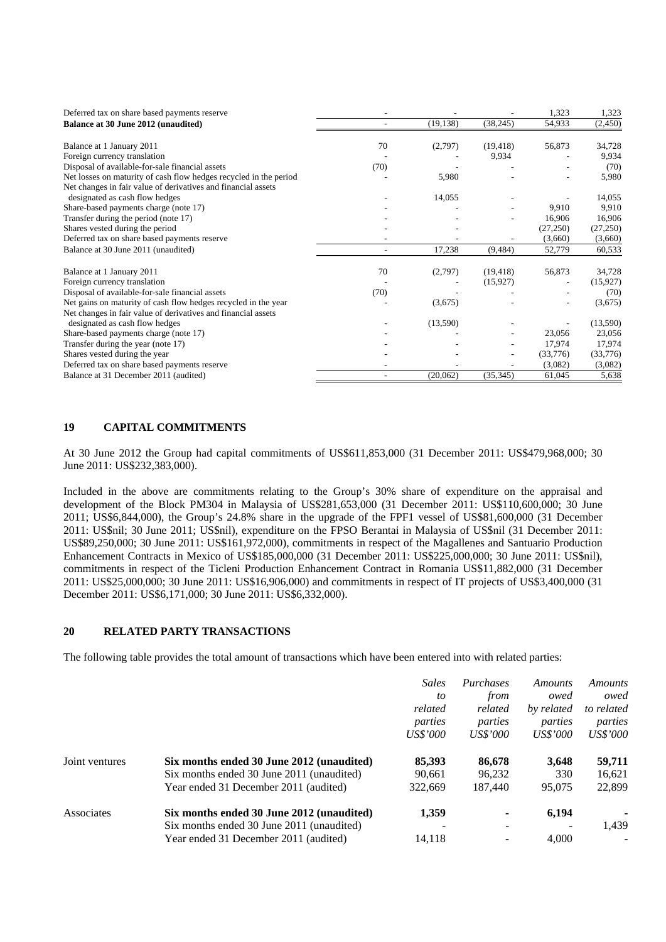| Deferred tax on share based payments reserve                      |      |           |           | 1,323     | 1,323    |
|-------------------------------------------------------------------|------|-----------|-----------|-----------|----------|
| Balance at 30 June 2012 (unaudited)                               |      | (19, 138) | (38, 245) | 54,933    | (2,450)  |
| Balance at 1 January 2011                                         | 70   | (2,797)   | (19, 418) | 56,873    | 34,728   |
| Foreign currency translation                                      |      |           | 9,934     |           | 9,934    |
| Disposal of available-for-sale financial assets                   | (70) |           |           |           | (70)     |
| Net losses on maturity of cash flow hedges recycled in the period |      | 5,980     |           |           | 5,980    |
| Net changes in fair value of derivatives and financial assets     |      |           |           |           |          |
| designated as cash flow hedges                                    |      | 14,055    |           |           | 14,055   |
| Share-based payments charge (note 17)                             |      |           |           | 9,910     | 9,910    |
| Transfer during the period (note 17)                              |      |           |           | 16,906    | 16,906   |
| Shares vested during the period                                   |      |           |           | (27, 250) | (27,250) |
| Deferred tax on share based payments reserve                      |      |           |           | (3,660)   | (3,660)  |
| Balance at 30 June 2011 (unaudited)                               |      | 17,238    | (9, 484)  | 52,779    | 60,533   |
| Balance at 1 January 2011                                         | 70   | (2,797)   | (19, 418) | 56,873    | 34,728   |
| Foreign currency translation                                      |      |           | (15,927)  |           | (15,927) |
| Disposal of available-for-sale financial assets                   | (70) |           |           |           | (70)     |
| Net gains on maturity of cash flow hedges recycled in the year    |      | (3,675)   |           |           | (3,675)  |
| Net changes in fair value of derivatives and financial assets     |      |           |           |           |          |
| designated as cash flow hedges                                    |      | (13,590)  |           |           | (13,590) |
| Share-based payments charge (note 17)                             |      |           |           | 23,056    | 23,056   |
| Transfer during the year (note 17)                                |      |           |           | 17,974    | 17,974   |
| Shares vested during the year                                     |      |           |           | (33,776)  | (33,776) |
| Deferred tax on share based payments reserve                      |      |           |           | (3,082)   | (3,082)  |
| Balance at 31 December 2011 (audited)                             |      | (20,062)  | (35, 345) | 61,045    | 5,638    |

## **19 CAPITAL COMMITMENTS**

At 30 June 2012 the Group had capital commitments of US\$611,853,000 (31 December 2011: US\$479,968,000; 30 June 2011: US\$232,383,000).

Included in the above are commitments relating to the Group's 30% share of expenditure on the appraisal and development of the Block PM304 in Malaysia of US\$281,653,000 (31 December 2011: US\$110,600,000; 30 June 2011; US\$6,844,000), the Group's 24.8% share in the upgrade of the FPF1 vessel of US\$81,600,000 (31 December 2011: US\$nil; 30 June 2011; US\$nil), expenditure on the FPSO Berantai in Malaysia of US\$nil (31 December 2011: US\$89,250,000; 30 June 2011: US\$161,972,000), commitments in respect of the Magallenes and Santuario Production Enhancement Contracts in Mexico of US\$185,000,000 (31 December 2011: US\$225,000,000; 30 June 2011: US\$nil), commitments in respect of the Ticleni Production Enhancement Contract in Romania US\$11,882,000 (31 December 2011: US\$25,000,000; 30 June 2011: US\$16,906,000) and commitments in respect of IT projects of US\$3,400,000 (31 December 2011: US\$6,171,000; 30 June 2011: US\$6,332,000).

## **20 RELATED PARTY TRANSACTIONS**

The following table provides the total amount of transactions which have been entered into with related parties:

|                |                                           | <b>Sales</b>    | Purchases                | Amounts         | Amounts    |
|----------------|-------------------------------------------|-----------------|--------------------------|-----------------|------------|
|                |                                           | to              | from                     | owed            | owed       |
|                |                                           | related         | related                  | by related      | to related |
|                |                                           | parties         | parties                  | parties         | parties    |
|                |                                           | <i>US\$'000</i> | <i>US\$'000</i>          | <i>US\$'000</i> | US\$'000   |
| Joint ventures | Six months ended 30 June 2012 (unaudited) | 85,393          | 86,678                   | 3,648           | 59,711     |
|                | Six months ended 30 June 2011 (unaudited) | 90.661          | 96,232                   | 330             | 16,621     |
|                | Year ended 31 December 2011 (audited)     | 322,669         | 187,440                  | 95,075          | 22,899     |
| Associates     | Six months ended 30 June 2012 (unaudited) | 1,359           | $\overline{\phantom{a}}$ | 6,194           |            |
|                | Six months ended 30 June 2011 (unaudited) |                 |                          |                 | 1,439      |
|                | Year ended 31 December 2011 (audited)     | 14.118          |                          | 4.000           |            |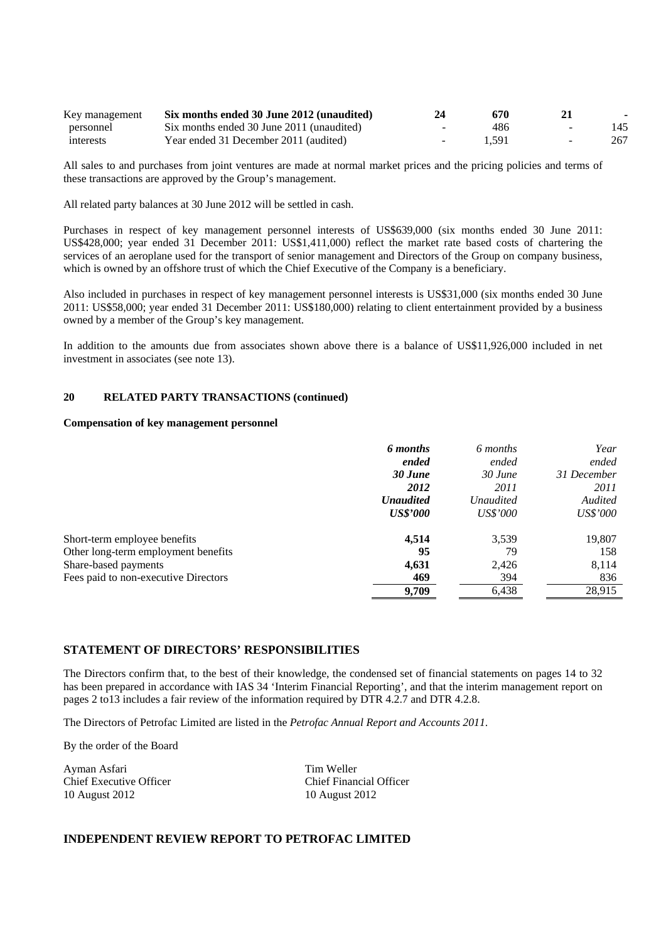| Key management | Six months ended 30 June 2012 (unaudited) | 24               | 670   |              |     |
|----------------|-------------------------------------------|------------------|-------|--------------|-----|
| personnel      | Six months ended 30 June 2011 (unaudited) | $\sim$           | 486   | <u>. так</u> | 145 |
| interests      | Year ended 31 December 2011 (audited)     | $\sim$ 100 $\mu$ | 1.591 |              | 267 |

All sales to and purchases from joint ventures are made at normal market prices and the pricing policies and terms of these transactions are approved by the Group's management.

All related party balances at 30 June 2012 will be settled in cash.

Purchases in respect of key management personnel interests of US\$639,000 (six months ended 30 June 2011: US\$428,000; year ended 31 December 2011: US\$1,411,000) reflect the market rate based costs of chartering the services of an aeroplane used for the transport of senior management and Directors of the Group on company business, which is owned by an offshore trust of which the Chief Executive of the Company is a beneficiary.

Also included in purchases in respect of key management personnel interests is US\$31,000 (six months ended 30 June 2011: US\$58,000; year ended 31 December 2011: US\$180,000) relating to client entertainment provided by a business owned by a member of the Group's key management.

In addition to the amounts due from associates shown above there is a balance of US\$11,926,000 included in net investment in associates (see note 13).

## **20 RELATED PARTY TRANSACTIONS (continued)**

## **Compensation of key management personnel**

|                                      | 6 months         | 6 months         | Year            |
|--------------------------------------|------------------|------------------|-----------------|
|                                      | ended            | ended            | ended           |
|                                      | 30 June          | 30 June          | 31 December     |
|                                      | 2012             | 2011             | 2011            |
|                                      | <b>Unaudited</b> | <i>Unaudited</i> | Audited         |
|                                      | <b>US\$'000</b>  | <i>US\$'000</i>  | <i>US\$'000</i> |
| Short-term employee benefits         | 4,514            | 3,539            | 19,807          |
| Other long-term employment benefits  | 95               | 79               | 158             |
| Share-based payments                 | 4,631            | 2,426            | 8,114           |
| Fees paid to non-executive Directors | 469              | 394              | 836             |
|                                      | 9,709            | 6,438            | 28,915          |

#### **STATEMENT OF DIRECTORS' RESPONSIBILITIES**

The Directors confirm that, to the best of their knowledge, the condensed set of financial statements on pages 14 to 32 has been prepared in accordance with IAS 34 'Interim Financial Reporting', and that the interim management report on pages 2 to13 includes a fair review of the information required by DTR 4.2.7 and DTR 4.2.8.

The Directors of Petrofac Limited are listed in the *Petrofac Annual Report and Accounts 2011*.

By the order of the Board

Ayman Asfari Tim Weller 10 August 2012 10 August 2012

Chief Executive Officer Chief Financial Officer

## **INDEPENDENT REVIEW REPORT TO PETROFAC LIMITED**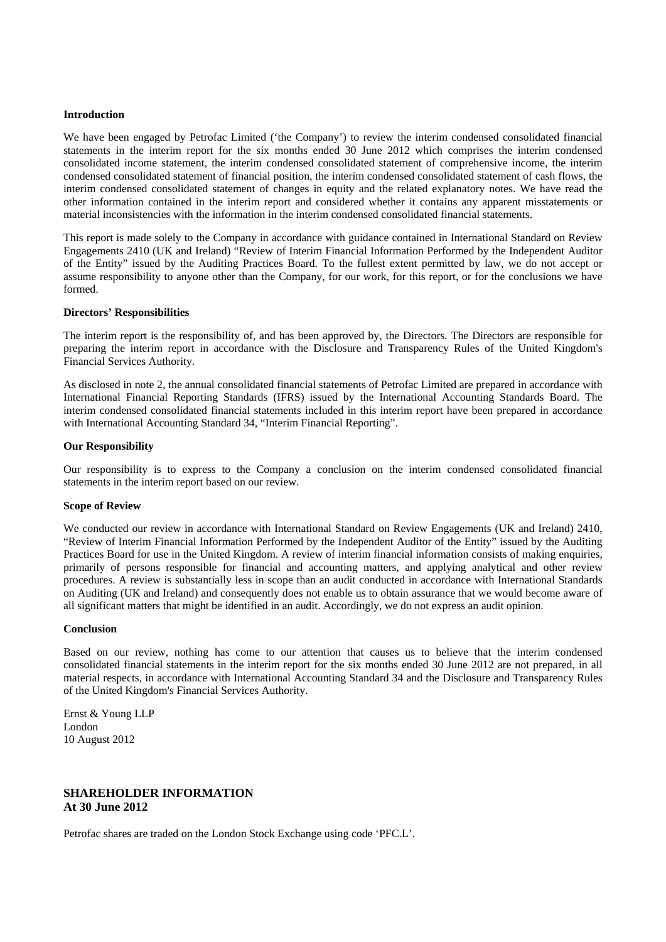#### **Introduction**

We have been engaged by Petrofac Limited ('the Company') to review the interim condensed consolidated financial statements in the interim report for the six months ended 30 June 2012 which comprises the interim condensed consolidated income statement, the interim condensed consolidated statement of comprehensive income, the interim condensed consolidated statement of financial position, the interim condensed consolidated statement of cash flows, the interim condensed consolidated statement of changes in equity and the related explanatory notes. We have read the other information contained in the interim report and considered whether it contains any apparent misstatements or material inconsistencies with the information in the interim condensed consolidated financial statements.

This report is made solely to the Company in accordance with guidance contained in International Standard on Review Engagements 2410 (UK and Ireland) "Review of Interim Financial Information Performed by the Independent Auditor of the Entity" issued by the Auditing Practices Board. To the fullest extent permitted by law, we do not accept or assume responsibility to anyone other than the Company, for our work, for this report, or for the conclusions we have formed.

#### **Directors' Responsibilities**

The interim report is the responsibility of, and has been approved by, the Directors. The Directors are responsible for preparing the interim report in accordance with the Disclosure and Transparency Rules of the United Kingdom's Financial Services Authority.

As disclosed in note 2, the annual consolidated financial statements of Petrofac Limited are prepared in accordance with International Financial Reporting Standards (IFRS) issued by the International Accounting Standards Board. The interim condensed consolidated financial statements included in this interim report have been prepared in accordance with International Accounting Standard 34, "Interim Financial Reporting".

#### **Our Responsibility**

Our responsibility is to express to the Company a conclusion on the interim condensed consolidated financial statements in the interim report based on our review.

#### **Scope of Review**

We conducted our review in accordance with International Standard on Review Engagements (UK and Ireland) 2410, "Review of Interim Financial Information Performed by the Independent Auditor of the Entity" issued by the Auditing Practices Board for use in the United Kingdom. A review of interim financial information consists of making enquiries, primarily of persons responsible for financial and accounting matters, and applying analytical and other review procedures. A review is substantially less in scope than an audit conducted in accordance with International Standards on Auditing (UK and Ireland) and consequently does not enable us to obtain assurance that we would become aware of all significant matters that might be identified in an audit. Accordingly, we do not express an audit opinion.

## **Conclusion**

Based on our review, nothing has come to our attention that causes us to believe that the interim condensed consolidated financial statements in the interim report for the six months ended 30 June 2012 are not prepared, in all material respects, in accordance with International Accounting Standard 34 and the Disclosure and Transparency Rules of the United Kingdom's Financial Services Authority.

Ernst & Young LLP London 10 August 2012

## **SHAREHOLDER INFORMATION At 30 June 2012**

Petrofac shares are traded on the London Stock Exchange using code 'PFC.L'.